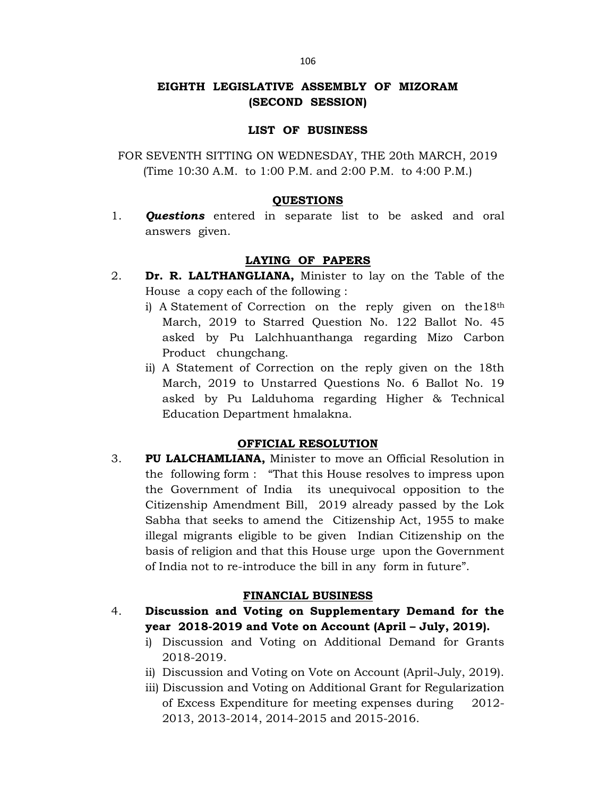## EIGHTH LEGISLATIVE ASSEMBLY OF MIZORAM (SECOND SESSION)

## LIST OF BUSINESS

FOR SEVENTH SITTING ON WEDNESDAY, THE 20th MARCH, 2019 (Time 10:30 A.M. to 1:00 P.M. and 2:00 P.M. to 4:00 P.M.)

## QUESTIONS

1. **Questions** entered in separate list to be asked and oral answers given.

## LAYING OF PAPERS

- 2. Dr. R. LALTHANGLIANA, Minister to lay on the Table of the House a copy each of the following :
	- i) A Statement of Correction on the reply given on the 18<sup>th</sup> March, 2019 to Starred Question No. 122 Ballot No. 45 asked by Pu Lalchhuanthanga regarding Mizo Carbon Product chungchang.
	- ii) A Statement of Correction on the reply given on the 18th March, 2019 to Unstarred Questions No. 6 Ballot No. 19 asked by Pu Lalduhoma regarding Higher & Technical Education Department hmalakna.

## OFFICIAL RESOLUTION

3. PU LALCHAMLIANA, Minister to move an Official Resolution in the following form : "That this House resolves to impress upon the Government of India its unequivocal opposition to the Citizenship Amendment Bill, 2019 already passed by the Lok Sabha that seeks to amend the Citizenship Act, 1955 to make illegal migrants eligible to be given Indian Citizenship on the basis of religion and that this House urge upon the Government of India not to re-introduce the bill in any form in future".

## FINANCIAL BUSINESS

- 4. Discussion and Voting on Supplementary Demand for the year 2018-2019 and Vote on Account (April – July, 2019).
	- i) Discussion and Voting on Additional Demand for Grants 2018-2019.
	- ii) Discussion and Voting on Vote on Account (April-July, 2019).
	- iii) Discussion and Voting on Additional Grant for Regularization of Excess Expenditure for meeting expenses during 2012- 2013, 2013-2014, 2014-2015 and 2015-2016.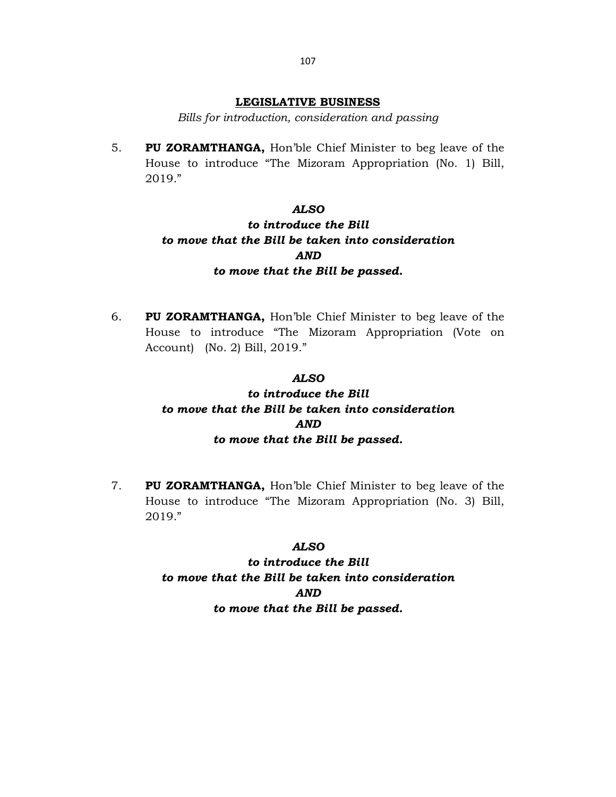### LEGISLATIVE BUSINESS

Bills for introduction, consideration and passing

5. PU ZORAMTHANGA, Hon'ble Chief Minister to beg leave of the House to introduce "The Mizoram Appropriation (No. 1) Bill, 2019."

### ALSO

# to introduce the Bill to move that the Bill be taken into consideration AND to move that the Bill be passed.

6. PU ZORAMTHANGA, Hon'ble Chief Minister to beg leave of the House to introduce "The Mizoram Appropriation (Vote on Account) (No. 2) Bill, 2019."

### ALSO

# to introduce the Bill to move that the Bill be taken into consideration AND to move that the Bill be passed.

7. PU ZORAMTHANGA, Hon'ble Chief Minister to beg leave of the House to introduce "The Mizoram Appropriation (No. 3) Bill, 2019."

### ALSO

to introduce the Bill to move that the Bill be taken into consideration AND to move that the Bill be passed.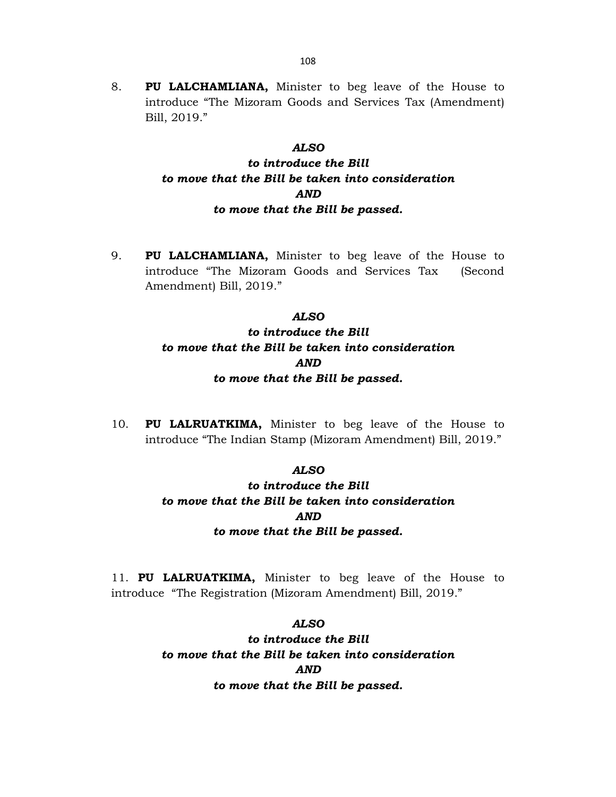8. PU LALCHAMLIANA, Minister to beg leave of the House to introduce "The Mizoram Goods and Services Tax (Amendment) Bill, 2019."

#### ALSO

## to introduce the Bill to move that the Bill be taken into consideration AND to move that the Bill be passed.

9. PU LALCHAMLIANA, Minister to beg leave of the House to introduce "The Mizoram Goods and Services Tax (Second Amendment) Bill, 2019."

## ALSO to introduce the Bill to move that the Bill be taken into consideration AND to move that the Bill be passed.

10. PU LALRUATKIMA, Minister to beg leave of the House to introduce "The Indian Stamp (Mizoram Amendment) Bill, 2019."

## ALSO

to introduce the Bill to move that the Bill be taken into consideration AND to move that the Bill be passed.

11. PU LALRUATKIMA, Minister to beg leave of the House to introduce "The Registration (Mizoram Amendment) Bill, 2019."

### ALSO

to introduce the Bill to move that the Bill be taken into consideration AND to move that the Bill be passed.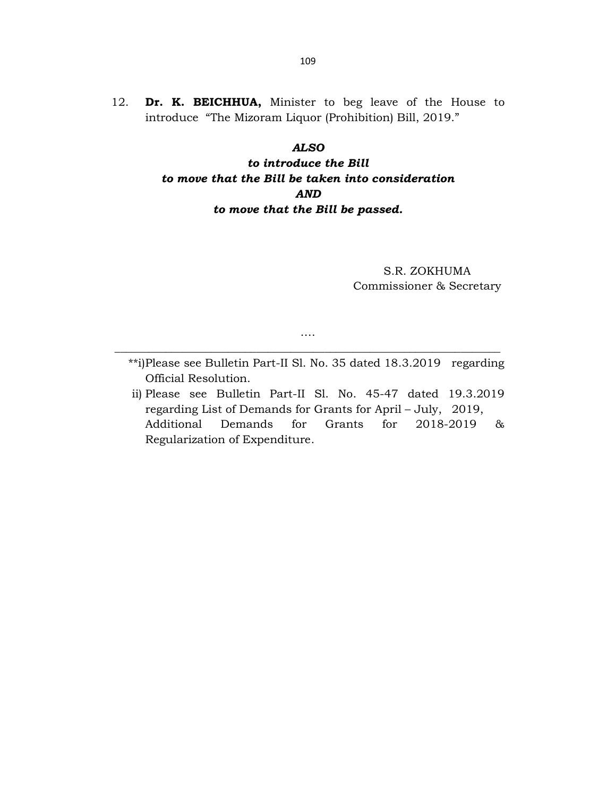12. Dr. K. BEICHHUA, Minister to beg leave of the House to introduce "The Mizoram Liquor (Prohibition) Bill, 2019."

### ALSO

# to introduce the Bill to move that the Bill be taken into consideration AND to move that the Bill be passed.

S.R. ZOKHUMA Commissioner & Secretary

…. \_\_\_\_\_\_\_\_\_\_\_\_\_\_\_\_\_\_\_\_\_\_\_\_\_\_\_\_\_\_\_\_\_\_\_\_\_\_\_\_\_\_\_\_\_\_\_\_\_\_\_\_\_\_\_\_\_\_\_\_\_\_\_\_\_\_\_\_

- \*\*i) Please see Bulletin Part-II Sl. No. 35 dated 18.3.2019 regarding Official Resolution.
- ii) Please see Bulletin Part-II Sl. No. 45-47 dated 19.3.2019 regarding List of Demands for Grants for April – July, 2019, Additional Demands for Grants for 2018-2019 & Regularization of Expenditure.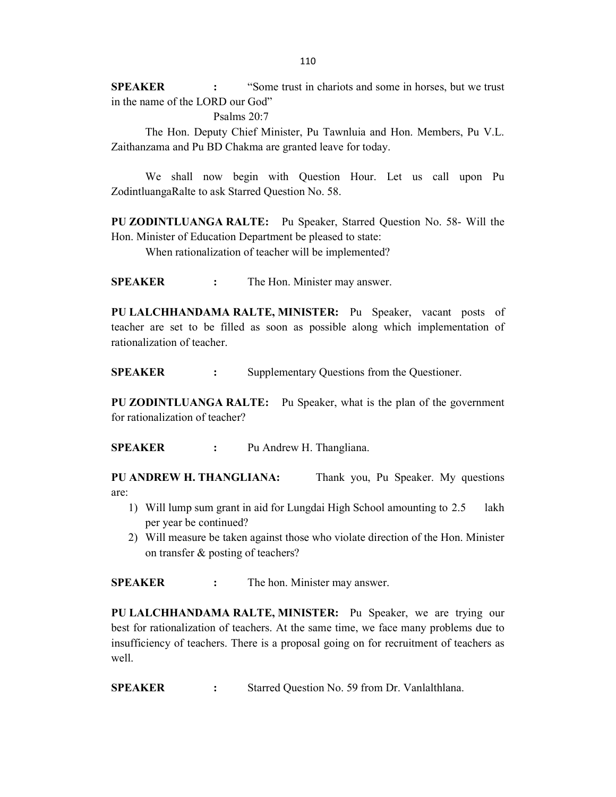SPEAKER : "Some trust in chariots and some in horses, but we trust in the name of the LORD our God"

Psalms 20:7

 The Hon. Deputy Chief Minister, Pu Tawnluia and Hon. Members, Pu V.L. Zaithanzama and Pu BD Chakma are granted leave for today.

 We shall now begin with Question Hour. Let us call upon Pu ZodintluangaRalte to ask Starred Question No. 58.

PU ZODINTLUANGA RALTE: Pu Speaker, Starred Question No. 58- Will the Hon. Minister of Education Department be pleased to state:

When rationalization of teacher will be implemented?

SPEAKER : The Hon. Minister may answer.

PU LALCHHANDAMA RALTE, MINISTER: Pu Speaker, vacant posts of teacher are set to be filled as soon as possible along which implementation of rationalization of teacher.

SPEAKER : Supplementary Questions from the Questioner.

PU ZODINTLUANGA RALTE: Pu Speaker, what is the plan of the government for rationalization of teacher?

SPEAKER : Pu Andrew H. Thangliana.

PU ANDREW H. THANGLIANA: Thank you, Pu Speaker. My questions are:

- 1) Will lump sum grant in aid for Lungdai High School amounting to 2.5 lakh per year be continued?
- 2) Will measure be taken against those who violate direction of the Hon. Minister on transfer & posting of teachers?

SPEAKER : The hon. Minister may answer.

PU LALCHHANDAMA RALTE, MINISTER: Pu Speaker, we are trying our best for rationalization of teachers. At the same time, we face many problems due to insufficiency of teachers. There is a proposal going on for recruitment of teachers as well.

SPEAKER : Starred Question No. 59 from Dr. Vanlalthlana.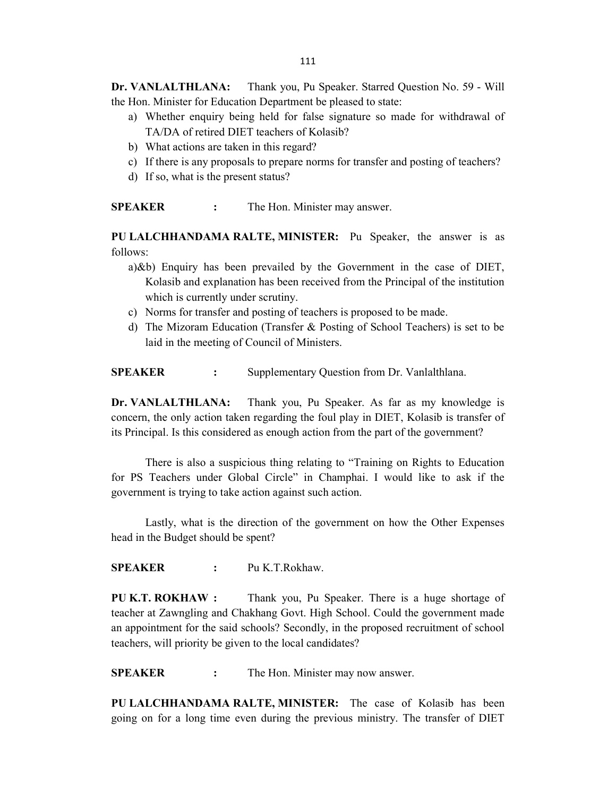Dr. VANLALTHLANA: Thank you, Pu Speaker. Starred Question No. 59 - Will the Hon. Minister for Education Department be pleased to state:

- a) Whether enquiry being held for false signature so made for withdrawal of TA/DA of retired DIET teachers of Kolasib?
- b) What actions are taken in this regard?
- c) If there is any proposals to prepare norms for transfer and posting of teachers?
- d) If so, what is the present status?

SPEAKER : The Hon. Minister may answer.

PU LALCHHANDAMA RALTE, MINISTER: Pu Speaker, the answer is as follows:

- a) &b) Enquiry has been prevailed by the Government in the case of DIET, Kolasib and explanation has been received from the Principal of the institution which is currently under scrutiny.
- c) Norms for transfer and posting of teachers is proposed to be made.
- d) The Mizoram Education (Transfer & Posting of School Teachers) is set to be laid in the meeting of Council of Ministers.

SPEAKER : Supplementary Question from Dr. Vanlalthlana.

Dr. VANLALTHLANA: Thank you, Pu Speaker. As far as my knowledge is concern, the only action taken regarding the foul play in DIET, Kolasib is transfer of its Principal. Is this considered as enough action from the part of the government?

 There is also a suspicious thing relating to "Training on Rights to Education for PS Teachers under Global Circle" in Champhai. I would like to ask if the government is trying to take action against such action.

 Lastly, what is the direction of the government on how the Other Expenses head in the Budget should be spent?

SPEAKER : Pu K.T.Rokhaw.

PU K.T. ROKHAW : Thank you, Pu Speaker. There is a huge shortage of teacher at Zawngling and Chakhang Govt. High School. Could the government made an appointment for the said schools? Secondly, in the proposed recruitment of school teachers, will priority be given to the local candidates?

**SPEAKER** : The Hon. Minister may now answer.

PU LALCHHANDAMA RALTE, MINISTER: The case of Kolasib has been going on for a long time even during the previous ministry. The transfer of DIET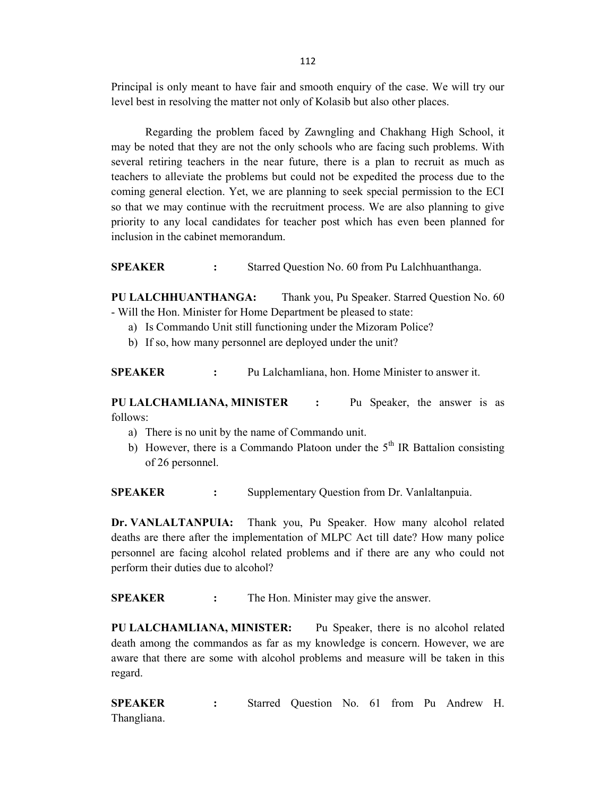Principal is only meant to have fair and smooth enquiry of the case. We will try our level best in resolving the matter not only of Kolasib but also other places.

Regarding the problem faced by Zawngling and Chakhang High School, it may be noted that they are not the only schools who are facing such problems. With several retiring teachers in the near future, there is a plan to recruit as much as teachers to alleviate the problems but could not be expedited the process due to the coming general election. Yet, we are planning to seek special permission to the ECI so that we may continue with the recruitment process. We are also planning to give priority to any local candidates for teacher post which has even been planned for inclusion in the cabinet memorandum.

SPEAKER : Starred Question No. 60 from Pu Lalchhuanthanga.

PU LALCHHUANTHANGA: Thank you, Pu Speaker. Starred Question No. 60 - Will the Hon. Minister for Home Department be pleased to state:

- a) Is Commando Unit still functioning under the Mizoram Police?
- b) If so, how many personnel are deployed under the unit?

SPEAKER : Pu Lalchamliana, hon. Home Minister to answer it.

PU LALCHAMLIANA, MINISTER : Pu Speaker, the answer is as follows:

- a) There is no unit by the name of Commando unit.
- b) However, there is a Commando Platoon under the  $5<sup>th</sup>$  IR Battalion consisting of 26 personnel.

SPEAKER : Supplementary Question from Dr. Vanlaltanpuia.

Dr. VANLALTANPUIA: Thank you, Pu Speaker. How many alcohol related deaths are there after the implementation of MLPC Act till date? How many police personnel are facing alcohol related problems and if there are any who could not perform their duties due to alcohol?

**SPEAKER** : The Hon. Minister may give the answer.

PU LALCHAMLIANA, MINISTER: Pu Speaker, there is no alcohol related death among the commandos as far as my knowledge is concern. However, we are aware that there are some with alcohol problems and measure will be taken in this regard.

SPEAKER : Starred Question No. 61 from Pu Andrew H. Thangliana.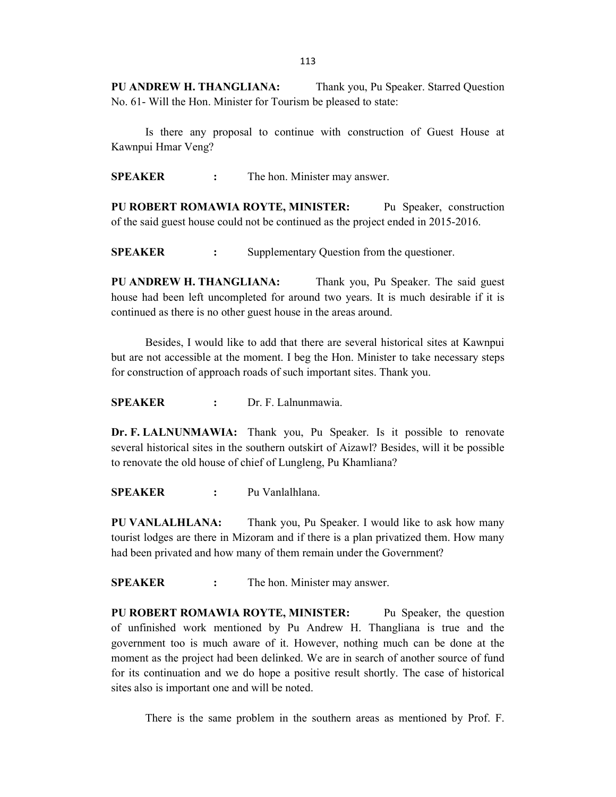PU ANDREW H. THANGLIANA: Thank you, Pu Speaker. Starred Question No. 61- Will the Hon. Minister for Tourism be pleased to state:

 Is there any proposal to continue with construction of Guest House at Kawnpui Hmar Veng?

SPEAKER : The hon. Minister may answer.

PU ROBERT ROMAWIA ROYTE, MINISTER: Pu Speaker, construction of the said guest house could not be continued as the project ended in 2015-2016.

**SPEAKER** : Supplementary Question from the questioner.

PU ANDREW H. THANGLIANA: Thank you, Pu Speaker. The said guest house had been left uncompleted for around two years. It is much desirable if it is continued as there is no other guest house in the areas around.

 Besides, I would like to add that there are several historical sites at Kawnpui but are not accessible at the moment. I beg the Hon. Minister to take necessary steps for construction of approach roads of such important sites. Thank you.

SPEAKER : Dr. F. Lalnunmawia.

Dr. F. LALNUNMAWIA: Thank you, Pu Speaker. Is it possible to renovate several historical sites in the southern outskirt of Aizawl? Besides, will it be possible to renovate the old house of chief of Lungleng, Pu Khamliana?

SPEAKER : Pu Vanlalhlana.

PU VANLALHLANA: Thank you, Pu Speaker. I would like to ask how many tourist lodges are there in Mizoram and if there is a plan privatized them. How many had been privated and how many of them remain under the Government?

SPEAKER : The hon. Minister may answer.

PU ROBERT ROMAWIA ROYTE, MINISTER: Pu Speaker, the question of unfinished work mentioned by Pu Andrew H. Thangliana is true and the government too is much aware of it. However, nothing much can be done at the moment as the project had been delinked. We are in search of another source of fund for its continuation and we do hope a positive result shortly. The case of historical sites also is important one and will be noted.

There is the same problem in the southern areas as mentioned by Prof. F.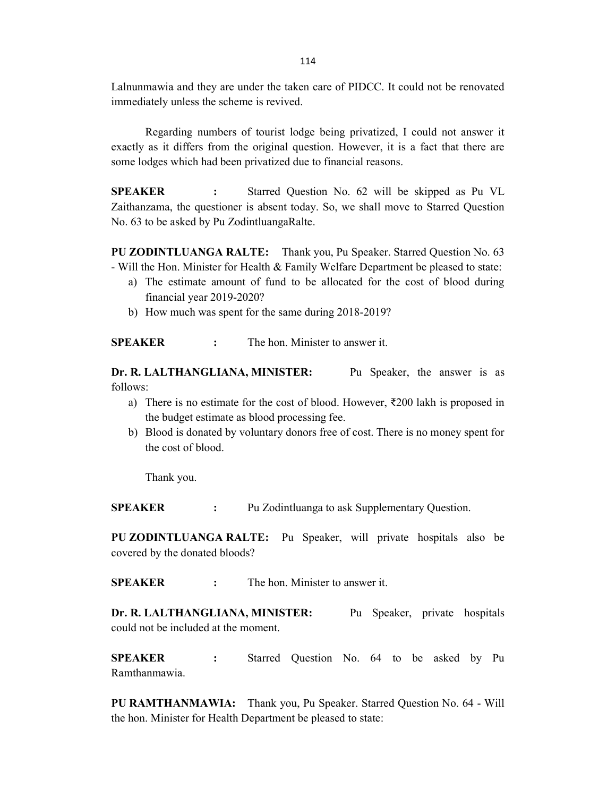Lalnunmawia and they are under the taken care of PIDCC. It could not be renovated immediately unless the scheme is revived.

 Regarding numbers of tourist lodge being privatized, I could not answer it exactly as it differs from the original question. However, it is a fact that there are some lodges which had been privatized due to financial reasons.

SPEAKER : Starred Question No. 62 will be skipped as Pu VL Zaithanzama, the questioner is absent today. So, we shall move to Starred Question No. 63 to be asked by Pu ZodintluangaRalte.

PU ZODINTLUANGA RALTE: Thank you, Pu Speaker. Starred Question No. 63 - Will the Hon. Minister for Health & Family Welfare Department be pleased to state:

- a) The estimate amount of fund to be allocated for the cost of blood during financial year 2019-2020?
- b) How much was spent for the same during 2018-2019?

SPEAKER : The hon. Minister to answer it.

Dr. R. LALTHANGLIANA, MINISTER: Pu Speaker, the answer is as follows:

- a) There is no estimate for the cost of blood. However,  $\overline{\xi}200$  lakh is proposed in the budget estimate as blood processing fee.
- b) Blood is donated by voluntary donors free of cost. There is no money spent for the cost of blood.

Thank you.

SPEAKER : Pu Zodintluanga to ask Supplementary Question.

PU ZODINTLUANGA RALTE: Pu Speaker, will private hospitals also be covered by the donated bloods?

SPEAKER : The hon. Minister to answer it.

Dr. R. LALTHANGLIANA, MINISTER: Pu Speaker, private hospitals could not be included at the moment.

SPEAKER : Starred Question No. 64 to be asked by Pu Ramthanmawia.

PU RAMTHANMAWIA: Thank you, Pu Speaker. Starred Question No. 64 - Will the hon. Minister for Health Department be pleased to state: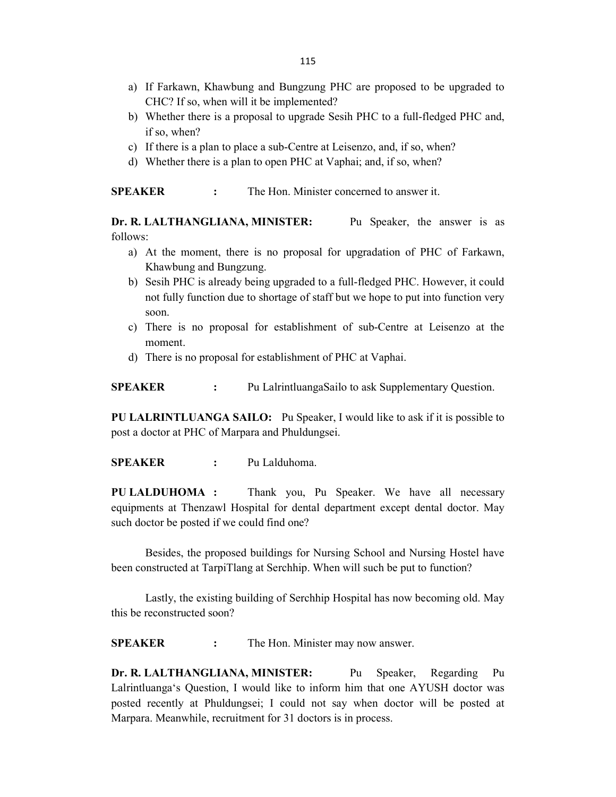- a) If Farkawn, Khawbung and Bungzung PHC are proposed to be upgraded to CHC? If so, when will it be implemented?
- b) Whether there is a proposal to upgrade Sesih PHC to a full-fledged PHC and, if so, when?
- c) If there is a plan to place a sub-Centre at Leisenzo, and, if so, when?
- d) Whether there is a plan to open PHC at Vaphai; and, if so, when?

SPEAKER : The Hon. Minister concerned to answer it.

Dr. R. LALTHANGLIANA, MINISTER: Pu Speaker, the answer is as follows:

- a) At the moment, there is no proposal for upgradation of PHC of Farkawn, Khawbung and Bungzung.
- b) Sesih PHC is already being upgraded to a full-fledged PHC. However, it could not fully function due to shortage of staff but we hope to put into function very soon.
- c) There is no proposal for establishment of sub-Centre at Leisenzo at the moment.
- d) There is no proposal for establishment of PHC at Vaphai.

**SPEAKER** : Pu LalrintluangaSailo to ask Supplementary Question.

PU LALRINTLUANGA SAILO: Pu Speaker, I would like to ask if it is possible to post a doctor at PHC of Marpara and Phuldungsei.

SPEAKER : Pu Lalduhoma.

PU LALDUHOMA : Thank you, Pu Speaker. We have all necessary equipments at Thenzawl Hospital for dental department except dental doctor. May such doctor be posted if we could find one?

 Besides, the proposed buildings for Nursing School and Nursing Hostel have been constructed at TarpiTlang at Serchhip. When will such be put to function?

 Lastly, the existing building of Serchhip Hospital has now becoming old. May this be reconstructed soon?

SPEAKER : The Hon. Minister may now answer.

Dr. R. LALTHANGLIANA, MINISTER: Pu Speaker, Regarding Pu Lalrintluanga's Question, I would like to inform him that one AYUSH doctor was posted recently at Phuldungsei; I could not say when doctor will be posted at Marpara. Meanwhile, recruitment for 31 doctors is in process.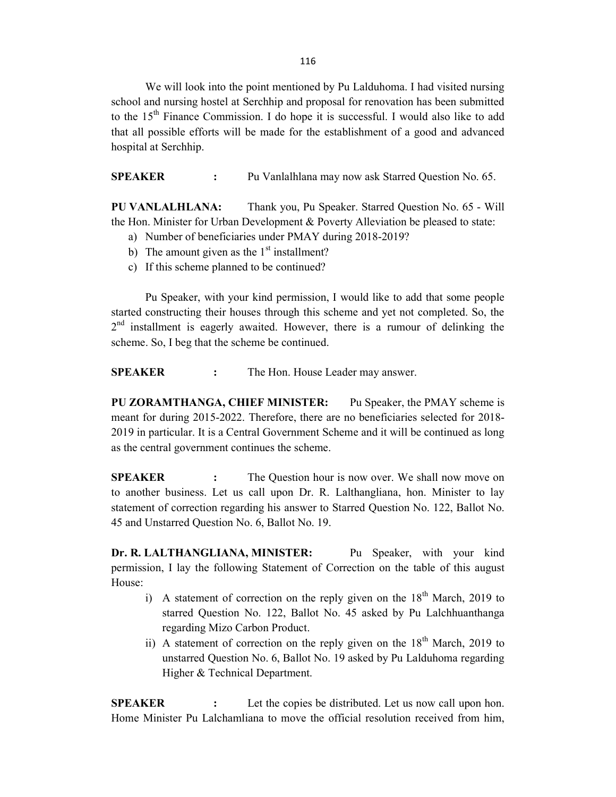116

We will look into the point mentioned by Pu Lalduhoma. I had visited nursing school and nursing hostel at Serchhip and proposal for renovation has been submitted to the 15<sup>th</sup> Finance Commission. I do hope it is successful. I would also like to add that all possible efforts will be made for the establishment of a good and advanced hospital at Serchhip.

SPEAKER : Pu Vanlalhlana may now ask Starred Question No. 65.

PU VANLALHLANA: Thank you, Pu Speaker. Starred Question No. 65 - Will the Hon. Minister for Urban Development & Poverty Alleviation be pleased to state:

- a) Number of beneficiaries under PMAY during 2018-2019?
- b) The amount given as the  $1<sup>st</sup>$  installment?
- c) If this scheme planned to be continued?

 Pu Speaker, with your kind permission, I would like to add that some people started constructing their houses through this scheme and yet not completed. So, the  $2<sup>nd</sup>$  installment is eagerly awaited. However, there is a rumour of delinking the scheme. So, I beg that the scheme be continued.

SPEAKER : The Hon. House Leader may answer.

PU ZORAMTHANGA, CHIEF MINISTER: Pu Speaker, the PMAY scheme is meant for during 2015-2022. Therefore, there are no beneficiaries selected for 2018- 2019 in particular. It is a Central Government Scheme and it will be continued as long as the central government continues the scheme.

**SPEAKER** : The Question hour is now over. We shall now move on to another business. Let us call upon Dr. R. Lalthangliana, hon. Minister to lay statement of correction regarding his answer to Starred Question No. 122, Ballot No. 45 and Unstarred Question No. 6, Ballot No. 19.

Dr. R. LALTHANGLIANA, MINISTER: Pu Speaker, with your kind permission, I lay the following Statement of Correction on the table of this august House:

- i) A statement of correction on the reply given on the  $18<sup>th</sup>$  March, 2019 to starred Question No. 122, Ballot No. 45 asked by Pu Lalchhuanthanga regarding Mizo Carbon Product.
- ii) A statement of correction on the reply given on the  $18<sup>th</sup>$  March, 2019 to unstarred Question No. 6, Ballot No. 19 asked by Pu Lalduhoma regarding Higher & Technical Department.

SPEAKER : Let the copies be distributed. Let us now call upon hon. Home Minister Pu Lalchamliana to move the official resolution received from him,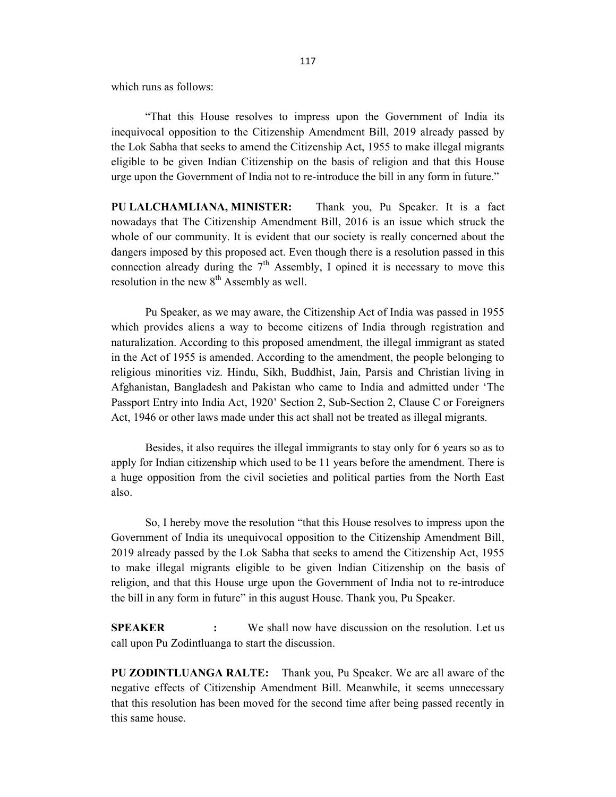which runs as follows:

 "That this House resolves to impress upon the Government of India its inequivocal opposition to the Citizenship Amendment Bill, 2019 already passed by the Lok Sabha that seeks to amend the Citizenship Act, 1955 to make illegal migrants eligible to be given Indian Citizenship on the basis of religion and that this House urge upon the Government of India not to re-introduce the bill in any form in future."

PU LALCHAMLIANA, MINISTER: Thank you, Pu Speaker. It is a fact nowadays that The Citizenship Amendment Bill, 2016 is an issue which struck the whole of our community. It is evident that our society is really concerned about the dangers imposed by this proposed act. Even though there is a resolution passed in this connection already during the  $7<sup>th</sup>$  Assembly, I opined it is necessary to move this resolution in the new  $8<sup>th</sup>$  Assembly as well.

 Pu Speaker, as we may aware, the Citizenship Act of India was passed in 1955 which provides aliens a way to become citizens of India through registration and naturalization. According to this proposed amendment, the illegal immigrant as stated in the Act of 1955 is amended. According to the amendment, the people belonging to religious minorities viz. Hindu, Sikh, Buddhist, Jain, Parsis and Christian living in Afghanistan, Bangladesh and Pakistan who came to India and admitted under 'The Passport Entry into India Act, 1920' Section 2, Sub-Section 2, Clause C or Foreigners Act, 1946 or other laws made under this act shall not be treated as illegal migrants.

 Besides, it also requires the illegal immigrants to stay only for 6 years so as to apply for Indian citizenship which used to be 11 years before the amendment. There is a huge opposition from the civil societies and political parties from the North East also.

So, I hereby move the resolution "that this House resolves to impress upon the Government of India its unequivocal opposition to the Citizenship Amendment Bill, 2019 already passed by the Lok Sabha that seeks to amend the Citizenship Act, 1955 to make illegal migrants eligible to be given Indian Citizenship on the basis of religion, and that this House urge upon the Government of India not to re-introduce the bill in any form in future" in this august House. Thank you, Pu Speaker.

SPEAKER : We shall now have discussion on the resolution. Let us call upon Pu Zodintluanga to start the discussion.

PU ZODINTLUANGA RALTE: Thank you, Pu Speaker. We are all aware of the negative effects of Citizenship Amendment Bill. Meanwhile, it seems unnecessary that this resolution has been moved for the second time after being passed recently in this same house.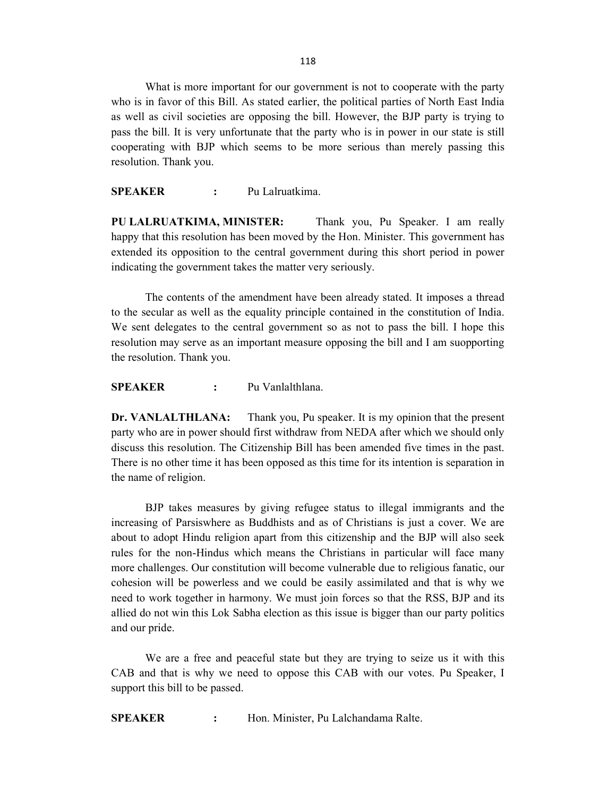118

 What is more important for our government is not to cooperate with the party who is in favor of this Bill. As stated earlier, the political parties of North East India as well as civil societies are opposing the bill. However, the BJP party is trying to pass the bill. It is very unfortunate that the party who is in power in our state is still cooperating with BJP which seems to be more serious than merely passing this resolution. Thank you.

SPEAKER : Pu Lalruatkima.

PU LALRUATKIMA, MINISTER: Thank you, Pu Speaker. I am really happy that this resolution has been moved by the Hon. Minister. This government has extended its opposition to the central government during this short period in power indicating the government takes the matter very seriously.

 The contents of the amendment have been already stated. It imposes a thread to the secular as well as the equality principle contained in the constitution of India. We sent delegates to the central government so as not to pass the bill. I hope this resolution may serve as an important measure opposing the bill and I am suopporting the resolution. Thank you.

SPEAKER : Pu Vanlalthlana.

Dr. VANLALTHLANA: Thank you, Pu speaker. It is my opinion that the present party who are in power should first withdraw from NEDA after which we should only discuss this resolution. The Citizenship Bill has been amended five times in the past. There is no other time it has been opposed as this time for its intention is separation in the name of religion.

BJP takes measures by giving refugee status to illegal immigrants and the increasing of Parsiswhere as Buddhists and as of Christians is just a cover. We are about to adopt Hindu religion apart from this citizenship and the BJP will also seek rules for the non-Hindus which means the Christians in particular will face many more challenges. Our constitution will become vulnerable due to religious fanatic, our cohesion will be powerless and we could be easily assimilated and that is why we need to work together in harmony. We must join forces so that the RSS, BJP and its allied do not win this Lok Sabha election as this issue is bigger than our party politics and our pride.

 We are a free and peaceful state but they are trying to seize us it with this CAB and that is why we need to oppose this CAB with our votes. Pu Speaker, I support this bill to be passed.

SPEAKER : Hon. Minister, Pu Lalchandama Ralte.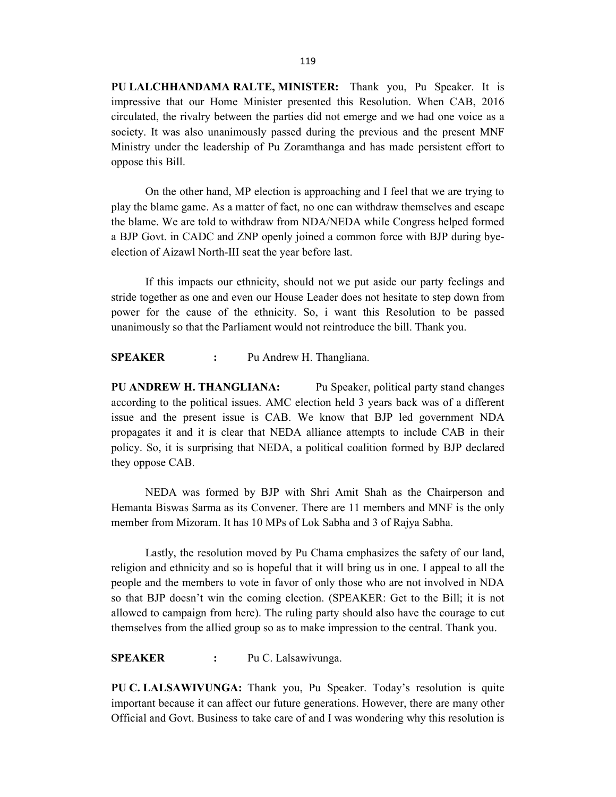PU LALCHHANDAMA RALTE, MINISTER: Thank you, Pu Speaker. It is impressive that our Home Minister presented this Resolution. When CAB, 2016 circulated, the rivalry between the parties did not emerge and we had one voice as a society. It was also unanimously passed during the previous and the present MNF Ministry under the leadership of Pu Zoramthanga and has made persistent effort to oppose this Bill.

 On the other hand, MP election is approaching and I feel that we are trying to play the blame game. As a matter of fact, no one can withdraw themselves and escape the blame. We are told to withdraw from NDA/NEDA while Congress helped formed a BJP Govt. in CADC and ZNP openly joined a common force with BJP during byeelection of Aizawl North-III seat the year before last.

 If this impacts our ethnicity, should not we put aside our party feelings and stride together as one and even our House Leader does not hesitate to step down from power for the cause of the ethnicity. So, i want this Resolution to be passed unanimously so that the Parliament would not reintroduce the bill. Thank you.

SPEAKER : Pu Andrew H. Thangliana.

PU ANDREW H. THANGLIANA: Pu Speaker, political party stand changes according to the political issues. AMC election held 3 years back was of a different issue and the present issue is CAB. We know that BJP led government NDA propagates it and it is clear that NEDA alliance attempts to include CAB in their policy. So, it is surprising that NEDA, a political coalition formed by BJP declared they oppose CAB.

 NEDA was formed by BJP with Shri Amit Shah as the Chairperson and Hemanta Biswas Sarma as its Convener. There are 11 members and MNF is the only member from Mizoram. It has 10 MPs of Lok Sabha and 3 of Rajya Sabha.

 Lastly, the resolution moved by Pu Chama emphasizes the safety of our land, religion and ethnicity and so is hopeful that it will bring us in one. I appeal to all the people and the members to vote in favor of only those who are not involved in NDA so that BJP doesn't win the coming election. (SPEAKER: Get to the Bill; it is not allowed to campaign from here). The ruling party should also have the courage to cut themselves from the allied group so as to make impression to the central. Thank you.

SPEAKER : Pu C. Lalsawivunga.

PU C. LALSAWIVUNGA: Thank you, Pu Speaker. Today's resolution is quite important because it can affect our future generations. However, there are many other Official and Govt. Business to take care of and I was wondering why this resolution is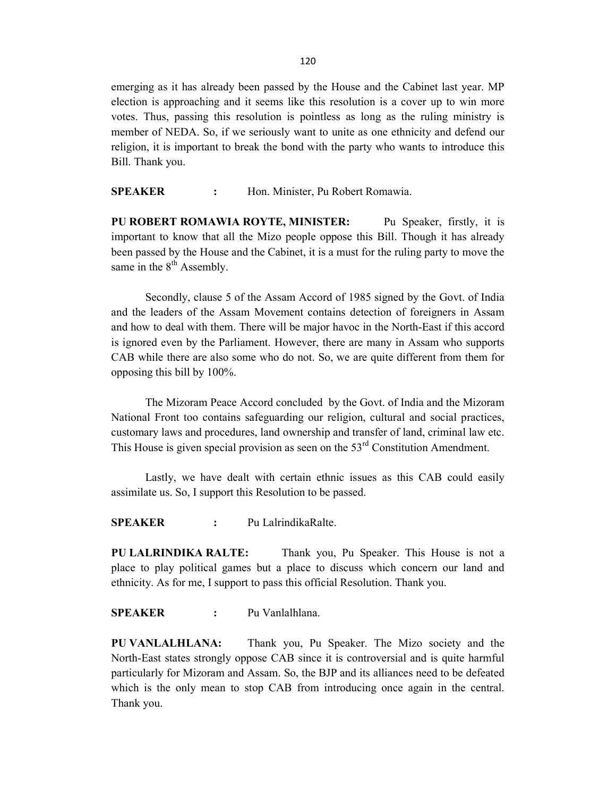emerging as it has already been passed by the House and the Cabinet last year. MP election is approaching and it seems like this resolution is a cover up to win more votes. Thus, passing this resolution is pointless as long as the ruling ministry is member of NEDA. So, if we seriously want to unite as one ethnicity and defend our religion, it is important to break the bond with the party who wants to introduce this Bill. Thank you.

SPEAKER : Hon. Minister, Pu Robert Romawia.

PU ROBERT ROMAWIA ROYTE, MINISTER: Pu Speaker, firstly, it is important to know that all the Mizo people oppose this Bill. Though it has already been passed by the House and the Cabinet, it is a must for the ruling party to move the same in the  $8<sup>th</sup>$  Assembly.

 Secondly, clause 5 of the Assam Accord of 1985 signed by the Govt. of India and the leaders of the Assam Movement contains detection of foreigners in Assam and how to deal with them. There will be major havoc in the North-East if this accord is ignored even by the Parliament. However, there are many in Assam who supports CAB while there are also some who do not. So, we are quite different from them for opposing this bill by 100%.

 The Mizoram Peace Accord concluded by the Govt. of India and the Mizoram National Front too contains safeguarding our religion, cultural and social practices, customary laws and procedures, land ownership and transfer of land, criminal law etc. This House is given special provision as seen on the  $53<sup>rd</sup>$  Constitution Amendment.

 Lastly, we have dealt with certain ethnic issues as this CAB could easily assimilate us. So, I support this Resolution to be passed.

SPEAKER : Pu LalrindikaRalte.

PU LALRINDIKA RALTE: Thank you, Pu Speaker. This House is not a place to play political games but a place to discuss which concern our land and ethnicity. As for me, I support to pass this official Resolution. Thank you.

SPEAKER : Pu Vanlalhlana.

PU VANLALHLANA: Thank you, Pu Speaker. The Mizo society and the North-East states strongly oppose CAB since it is controversial and is quite harmful particularly for Mizoram and Assam. So, the BJP and its alliances need to be defeated which is the only mean to stop CAB from introducing once again in the central. Thank you.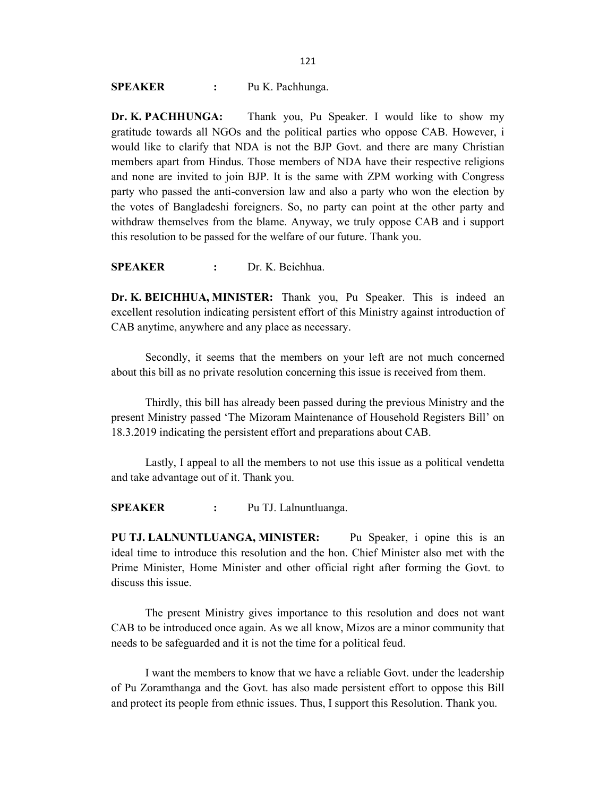SPEAKER : Pu K. Pachhunga.

Dr. K. PACHHUNGA: Thank you, Pu Speaker. I would like to show my gratitude towards all NGOs and the political parties who oppose CAB. However, i would like to clarify that NDA is not the BJP Govt. and there are many Christian members apart from Hindus. Those members of NDA have their respective religions and none are invited to join BJP. It is the same with ZPM working with Congress party who passed the anti-conversion law and also a party who won the election by the votes of Bangladeshi foreigners. So, no party can point at the other party and withdraw themselves from the blame. Anyway, we truly oppose CAB and i support this resolution to be passed for the welfare of our future. Thank you.

SPEAKER : Dr. K. Beichhua.

Dr. K. BEICHHUA, MINISTER: Thank you, Pu Speaker. This is indeed an excellent resolution indicating persistent effort of this Ministry against introduction of CAB anytime, anywhere and any place as necessary.

 Secondly, it seems that the members on your left are not much concerned about this bill as no private resolution concerning this issue is received from them.

 Thirdly, this bill has already been passed during the previous Ministry and the present Ministry passed 'The Mizoram Maintenance of Household Registers Bill' on 18.3.2019 indicating the persistent effort and preparations about CAB.

 Lastly, I appeal to all the members to not use this issue as a political vendetta and take advantage out of it. Thank you.

SPEAKER : Pu TJ. Lalnuntluanga.

PU TJ. LALNUNTLUANGA, MINISTER: Pu Speaker, i opine this is an ideal time to introduce this resolution and the hon. Chief Minister also met with the Prime Minister, Home Minister and other official right after forming the Govt. to discuss this issue.

 The present Ministry gives importance to this resolution and does not want CAB to be introduced once again. As we all know, Mizos are a minor community that needs to be safeguarded and it is not the time for a political feud.

 I want the members to know that we have a reliable Govt. under the leadership of Pu Zoramthanga and the Govt. has also made persistent effort to oppose this Bill and protect its people from ethnic issues. Thus, I support this Resolution. Thank you.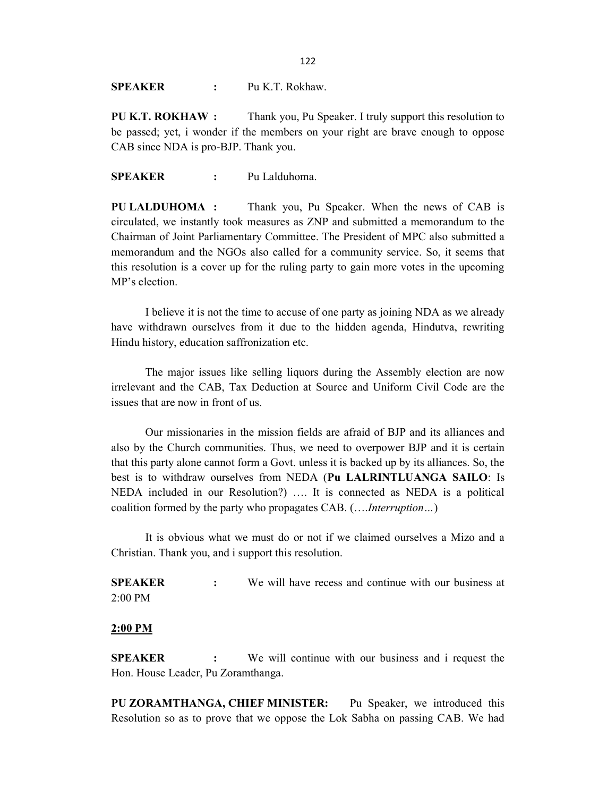SPEAKER : Pu K.T. Rokhaw.

PU K.T. ROKHAW : Thank you, Pu Speaker. I truly support this resolution to be passed; yet, i wonder if the members on your right are brave enough to oppose CAB since NDA is pro-BJP. Thank you.

SPEAKER : Pu Lalduhoma.

PU LALDUHOMA : Thank you, Pu Speaker. When the news of CAB is circulated, we instantly took measures as ZNP and submitted a memorandum to the Chairman of Joint Parliamentary Committee. The President of MPC also submitted a memorandum and the NGOs also called for a community service. So, it seems that this resolution is a cover up for the ruling party to gain more votes in the upcoming MP's election.

 I believe it is not the time to accuse of one party as joining NDA as we already have withdrawn ourselves from it due to the hidden agenda, Hindutva, rewriting Hindu history, education saffronization etc.

 The major issues like selling liquors during the Assembly election are now irrelevant and the CAB, Tax Deduction at Source and Uniform Civil Code are the issues that are now in front of us.

 Our missionaries in the mission fields are afraid of BJP and its alliances and also by the Church communities. Thus, we need to overpower BJP and it is certain that this party alone cannot form a Govt. unless it is backed up by its alliances. So, the best is to withdraw ourselves from NEDA (Pu LALRINTLUANGA SAILO: Is NEDA included in our Resolution?) …. It is connected as NEDA is a political coalition formed by the party who propagates CAB. (….Interruption…)

 It is obvious what we must do or not if we claimed ourselves a Mizo and a Christian. Thank you, and i support this resolution.

SPEAKER : We will have recess and continue with our business at 2:00 PM

### 2:00 PM

SPEAKER : We will continue with our business and i request the Hon. House Leader, Pu Zoramthanga.

PU ZORAMTHANGA, CHIEF MINISTER: Pu Speaker, we introduced this Resolution so as to prove that we oppose the Lok Sabha on passing CAB. We had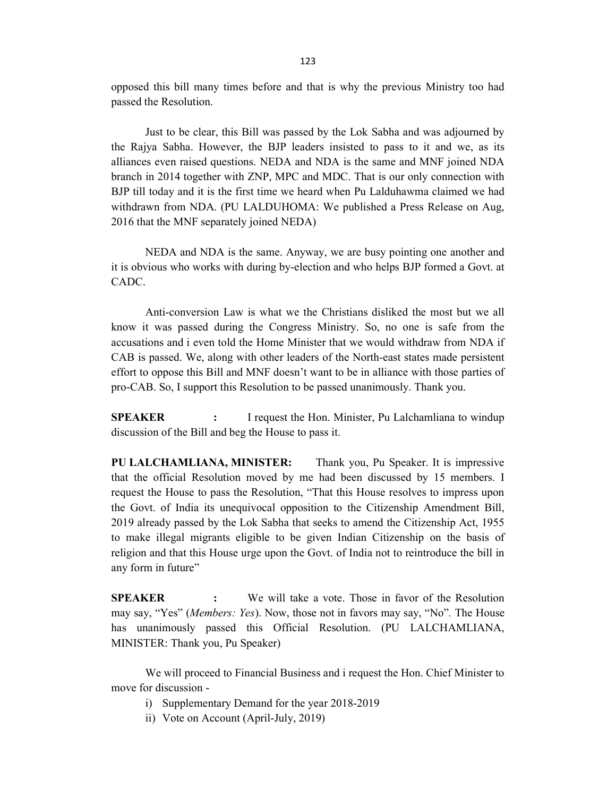opposed this bill many times before and that is why the previous Ministry too had passed the Resolution.

 Just to be clear, this Bill was passed by the Lok Sabha and was adjourned by the Rajya Sabha. However, the BJP leaders insisted to pass to it and we, as its alliances even raised questions. NEDA and NDA is the same and MNF joined NDA branch in 2014 together with ZNP, MPC and MDC. That is our only connection with BJP till today and it is the first time we heard when Pu Lalduhawma claimed we had withdrawn from NDA. (PU LALDUHOMA: We published a Press Release on Aug, 2016 that the MNF separately joined NEDA)

 NEDA and NDA is the same. Anyway, we are busy pointing one another and it is obvious who works with during by-election and who helps BJP formed a Govt. at CADC.

 Anti-conversion Law is what we the Christians disliked the most but we all know it was passed during the Congress Ministry. So, no one is safe from the accusations and i even told the Home Minister that we would withdraw from NDA if CAB is passed. We, along with other leaders of the North-east states made persistent effort to oppose this Bill and MNF doesn't want to be in alliance with those parties of pro-CAB. So, I support this Resolution to be passed unanimously. Thank you.

**SPEAKER** : I request the Hon. Minister, Pu Lalchamliana to windup discussion of the Bill and beg the House to pass it.

PU LALCHAMLIANA, MINISTER: Thank you, Pu Speaker. It is impressive that the official Resolution moved by me had been discussed by 15 members. I request the House to pass the Resolution, "That this House resolves to impress upon the Govt. of India its unequivocal opposition to the Citizenship Amendment Bill, 2019 already passed by the Lok Sabha that seeks to amend the Citizenship Act, 1955 to make illegal migrants eligible to be given Indian Citizenship on the basis of religion and that this House urge upon the Govt. of India not to reintroduce the bill in any form in future"

SPEAKER : We will take a vote. Those in favor of the Resolution may say, "Yes" (Members: Yes). Now, those not in favors may say, "No". The House has unanimously passed this Official Resolution. (PU LALCHAMLIANA, MINISTER: Thank you, Pu Speaker)

 We will proceed to Financial Business and i request the Hon. Chief Minister to move for discussion -

- i) Supplementary Demand for the year 2018-2019
- ii) Vote on Account (April-July, 2019)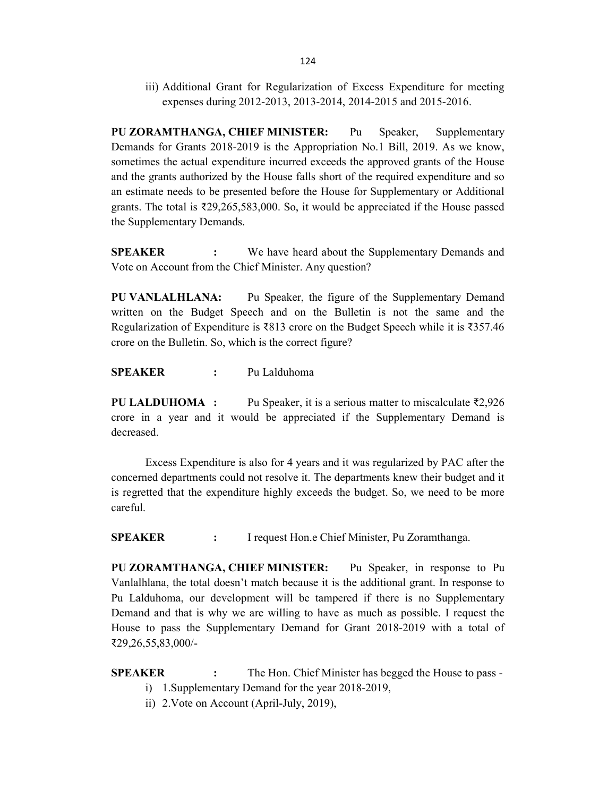iii) Additional Grant for Regularization of Excess Expenditure for meeting expenses during 2012-2013, 2013-2014, 2014-2015 and 2015-2016.

PU ZORAMTHANGA, CHIEF MINISTER: Pu Speaker, Supplementary Demands for Grants 2018-2019 is the Appropriation No.1 Bill, 2019. As we know, sometimes the actual expenditure incurred exceeds the approved grants of the House and the grants authorized by the House falls short of the required expenditure and so an estimate needs to be presented before the House for Supplementary or Additional grants. The total is  $\overline{2}29,265,583,000$ . So, it would be appreciated if the House passed the Supplementary Demands.

**SPEAKER** : We have heard about the Supplementary Demands and Vote on Account from the Chief Minister. Any question?

PU VANLALHLANA: Pu Speaker, the figure of the Supplementary Demand written on the Budget Speech and on the Bulletin is not the same and the Regularization of Expenditure is ₹813 crore on the Budget Speech while it is ₹357.46 crore on the Bulletin. So, which is the correct figure?

SPEAKER : Pu Lalduhoma

**PU LALDUHOMA** : Pu Speaker, it is a serious matter to miscalculate  $\overline{\ell}2,926$ crore in a year and it would be appreciated if the Supplementary Demand is decreased.

 Excess Expenditure is also for 4 years and it was regularized by PAC after the concerned departments could not resolve it. The departments knew their budget and it is regretted that the expenditure highly exceeds the budget. So, we need to be more careful.

SPEAKER : I request Hon.e Chief Minister, Pu Zoramthanga.

PU ZORAMTHANGA, CHIEF MINISTER: Pu Speaker, in response to Pu Vanlalhlana, the total doesn't match because it is the additional grant. In response to Pu Lalduhoma, our development will be tampered if there is no Supplementary Demand and that is why we are willing to have as much as possible. I request the House to pass the Supplementary Demand for Grant 2018-2019 with a total of ₹29,26,55,83,000/-

**SPEAKER** : The Hon. Chief Minister has begged the House to pass -

- i) 1.Supplementary Demand for the year 2018-2019,
- ii) 2.Vote on Account (April-July, 2019),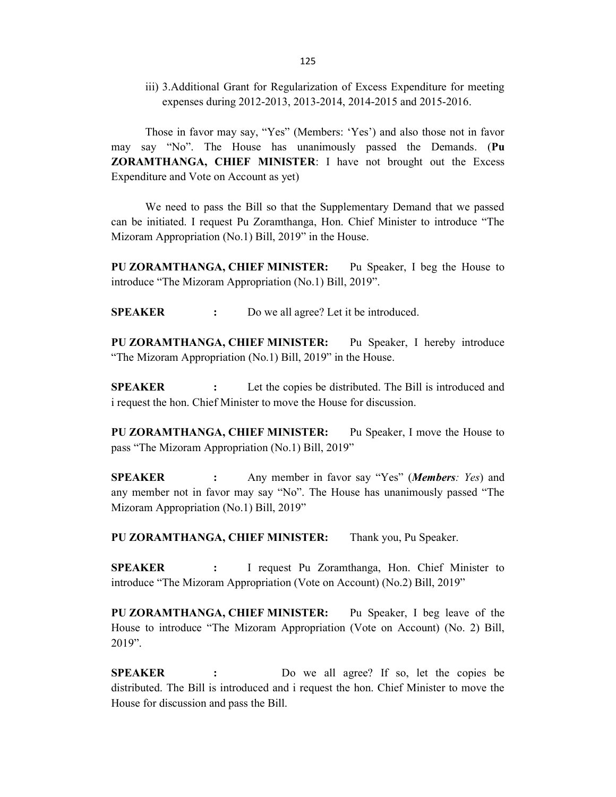iii) 3.Additional Grant for Regularization of Excess Expenditure for meeting expenses during 2012-2013, 2013-2014, 2014-2015 and 2015-2016.

 Those in favor may say, "Yes" (Members: 'Yes') and also those not in favor may say "No". The House has unanimously passed the Demands. (Pu ZORAMTHANGA, CHIEF MINISTER: I have not brought out the Excess Expenditure and Vote on Account as yet)

 We need to pass the Bill so that the Supplementary Demand that we passed can be initiated. I request Pu Zoramthanga, Hon. Chief Minister to introduce "The Mizoram Appropriation (No.1) Bill, 2019" in the House.

PU ZORAMTHANGA, CHIEF MINISTER: Pu Speaker, I beg the House to introduce "The Mizoram Appropriation (No.1) Bill, 2019".

SPEAKER : Do we all agree? Let it be introduced.

PU ZORAMTHANGA, CHIEF MINISTER: Pu Speaker, I hereby introduce "The Mizoram Appropriation (No.1) Bill, 2019" in the House.

**SPEAKER** : Let the copies be distributed. The Bill is introduced and i request the hon. Chief Minister to move the House for discussion.

PU ZORAMTHANGA, CHIEF MINISTER: Pu Speaker, I move the House to pass "The Mizoram Appropriation (No.1) Bill, 2019"

**SPEAKER** : Any member in favor say "Yes" (*Members: Yes*) and any member not in favor may say "No". The House has unanimously passed "The Mizoram Appropriation (No.1) Bill, 2019"

PU ZORAMTHANGA, CHIEF MINISTER: Thank you, Pu Speaker.

SPEAKER : I request Pu Zoramthanga, Hon. Chief Minister to introduce "The Mizoram Appropriation (Vote on Account) (No.2) Bill, 2019"

PU ZORAMTHANGA, CHIEF MINISTER: Pu Speaker, I beg leave of the House to introduce "The Mizoram Appropriation (Vote on Account) (No. 2) Bill, 2019".

SPEAKER : Do we all agree? If so, let the copies be distributed. The Bill is introduced and i request the hon. Chief Minister to move the House for discussion and pass the Bill.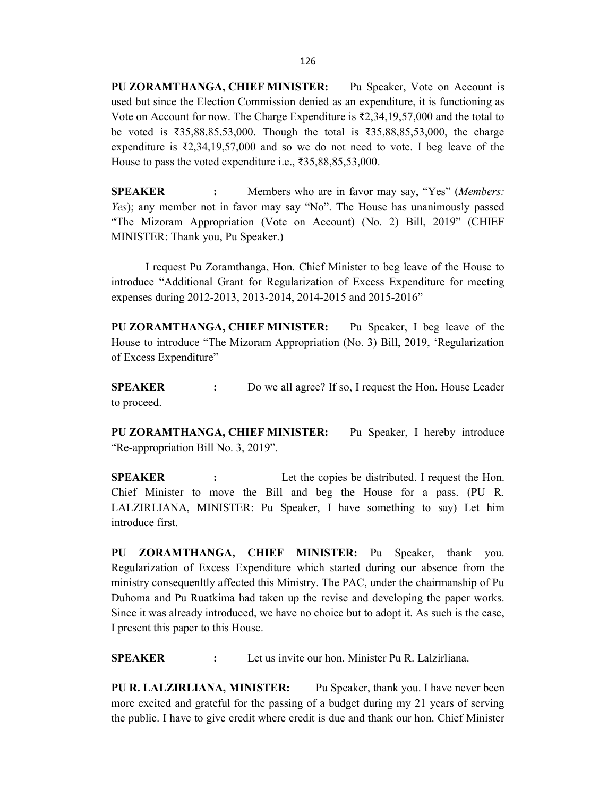PU ZORAMTHANGA, CHIEF MINISTER: Pu Speaker, Vote on Account is used but since the Election Commission denied as an expenditure, it is functioning as Vote on Account for now. The Charge Expenditure is  $\bar{\ell}2,34,19,57,000$  and the total to be voted is ₹35,88,85,53,000. Though the total is ₹35,88,85,53,000, the charge expenditure is ₹2,34,19,57,000 and so we do not need to vote. I beg leave of the House to pass the voted expenditure i.e., ₹35,88,85,53,000.

**SPEAKER** : Members who are in favor may say, "Yes" (Members: Yes); any member not in favor may say "No". The House has unanimously passed "The Mizoram Appropriation (Vote on Account) (No. 2) Bill, 2019" (CHIEF MINISTER: Thank you, Pu Speaker.)

 I request Pu Zoramthanga, Hon. Chief Minister to beg leave of the House to introduce "Additional Grant for Regularization of Excess Expenditure for meeting expenses during 2012-2013, 2013-2014, 2014-2015 and 2015-2016"

PU ZORAMTHANGA, CHIEF MINISTER: Pu Speaker, I beg leave of the House to introduce "The Mizoram Appropriation (No. 3) Bill, 2019, 'Regularization of Excess Expenditure"

**SPEAKER** : Do we all agree? If so, I request the Hon. House Leader to proceed.

PU ZORAMTHANGA, CHIEF MINISTER: Pu Speaker, I hereby introduce "Re-appropriation Bill No. 3, 2019".

SPEAKER : Let the copies be distributed. I request the Hon. Chief Minister to move the Bill and beg the House for a pass. (PU R. LALZIRLIANA, MINISTER: Pu Speaker, I have something to say) Let him introduce first.

PU ZORAMTHANGA, CHIEF MINISTER: Pu Speaker, thank you. Regularization of Excess Expenditure which started during our absence from the ministry consequenltly affected this Ministry. The PAC, under the chairmanship of Pu Duhoma and Pu Ruatkima had taken up the revise and developing the paper works. Since it was already introduced, we have no choice but to adopt it. As such is the case, I present this paper to this House.

SPEAKER : Let us invite our hon. Minister Pu R. Lalzirliana.

PU R. LALZIRLIANA, MINISTER: Pu Speaker, thank you. I have never been more excited and grateful for the passing of a budget during my 21 years of serving the public. I have to give credit where credit is due and thank our hon. Chief Minister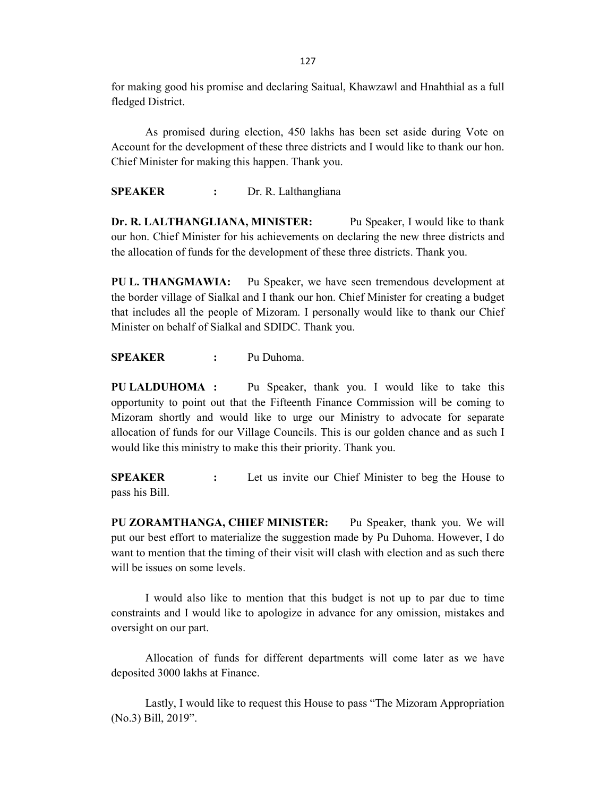for making good his promise and declaring Saitual, Khawzawl and Hnahthial as a full fledged District.

 As promised during election, 450 lakhs has been set aside during Vote on Account for the development of these three districts and I would like to thank our hon. Chief Minister for making this happen. Thank you.

SPEAKER : Dr. R. Lalthangliana

Dr. R. LALTHANGLIANA, MINISTER: Pu Speaker, I would like to thank our hon. Chief Minister for his achievements on declaring the new three districts and the allocation of funds for the development of these three districts. Thank you.

PU L. THANGMAWIA: Pu Speaker, we have seen tremendous development at the border village of Sialkal and I thank our hon. Chief Minister for creating a budget that includes all the people of Mizoram. I personally would like to thank our Chief Minister on behalf of Sialkal and SDIDC. Thank you.

SPEAKER : Pu Duhoma.

PU LALDUHOMA : Pu Speaker, thank you. I would like to take this opportunity to point out that the Fifteenth Finance Commission will be coming to Mizoram shortly and would like to urge our Ministry to advocate for separate allocation of funds for our Village Councils. This is our golden chance and as such I would like this ministry to make this their priority. Thank you.

**SPEAKER** : Let us invite our Chief Minister to beg the House to pass his Bill.

PU ZORAMTHANGA, CHIEF MINISTER: Pu Speaker, thank you. We will put our best effort to materialize the suggestion made by Pu Duhoma. However, I do want to mention that the timing of their visit will clash with election and as such there will be issues on some levels.

 I would also like to mention that this budget is not up to par due to time constraints and I would like to apologize in advance for any omission, mistakes and oversight on our part.

 Allocation of funds for different departments will come later as we have deposited 3000 lakhs at Finance.

 Lastly, I would like to request this House to pass "The Mizoram Appropriation (No.3) Bill, 2019".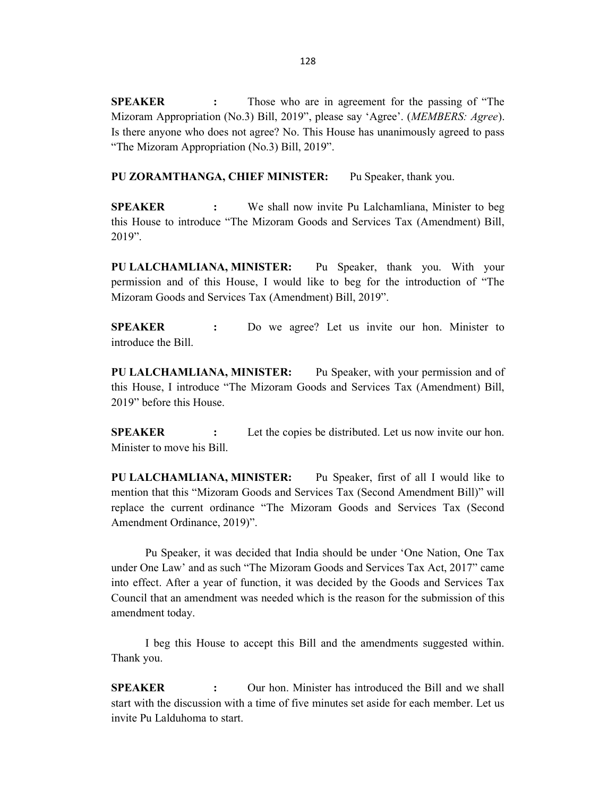SPEAKER : Those who are in agreement for the passing of "The Mizoram Appropriation (No.3) Bill, 2019", please say 'Agree'. (*MEMBERS: Agree*). Is there anyone who does not agree? No. This House has unanimously agreed to pass "The Mizoram Appropriation (No.3) Bill, 2019".

PU ZORAMTHANGA, CHIEF MINISTER: Pu Speaker, thank you.

**SPEAKER** : We shall now invite Pu Lalchamliana, Minister to beg this House to introduce "The Mizoram Goods and Services Tax (Amendment) Bill, 2019".

PU LALCHAMLIANA, MINISTER: Pu Speaker, thank you. With your permission and of this House, I would like to beg for the introduction of "The Mizoram Goods and Services Tax (Amendment) Bill, 2019".

SPEAKER : Do we agree? Let us invite our hon. Minister to introduce the Bill.

PU LALCHAMLIANA, MINISTER: Pu Speaker, with your permission and of this House, I introduce "The Mizoram Goods and Services Tax (Amendment) Bill, 2019" before this House.

**SPEAKER** : Let the copies be distributed. Let us now invite our hon. Minister to move his Bill.

PU LALCHAMLIANA, MINISTER: Pu Speaker, first of all I would like to mention that this "Mizoram Goods and Services Tax (Second Amendment Bill)" will replace the current ordinance "The Mizoram Goods and Services Tax (Second Amendment Ordinance, 2019)".

 Pu Speaker, it was decided that India should be under 'One Nation, One Tax under One Law' and as such "The Mizoram Goods and Services Tax Act, 2017" came into effect. After a year of function, it was decided by the Goods and Services Tax Council that an amendment was needed which is the reason for the submission of this amendment today.

 I beg this House to accept this Bill and the amendments suggested within. Thank you.

SPEAKER : Our hon. Minister has introduced the Bill and we shall start with the discussion with a time of five minutes set aside for each member. Let us invite Pu Lalduhoma to start.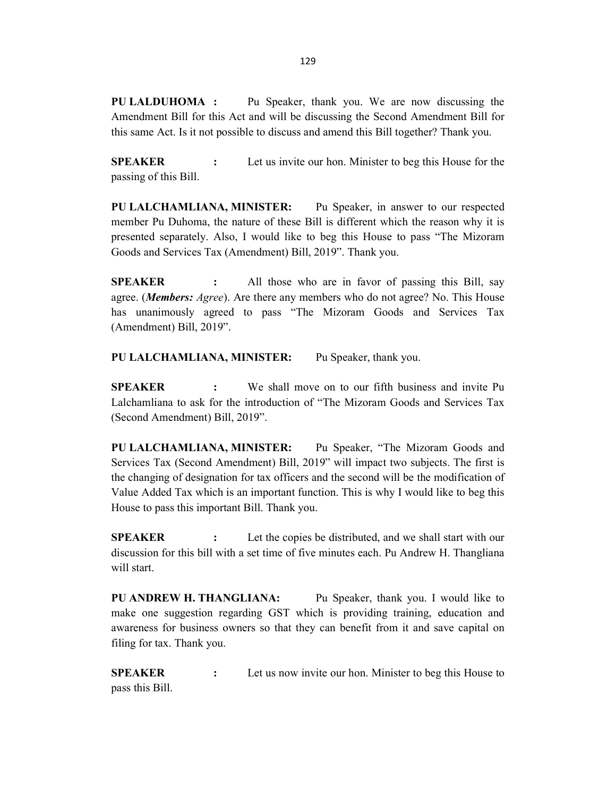PU LALDUHOMA : Pu Speaker, thank you. We are now discussing the Amendment Bill for this Act and will be discussing the Second Amendment Bill for this same Act. Is it not possible to discuss and amend this Bill together? Thank you.

**SPEAKER** : Let us invite our hon. Minister to beg this House for the passing of this Bill.

PU LALCHAMLIANA, MINISTER: Pu Speaker, in answer to our respected member Pu Duhoma, the nature of these Bill is different which the reason why it is presented separately. Also, I would like to beg this House to pass "The Mizoram Goods and Services Tax (Amendment) Bill, 2019". Thank you.

SPEAKER : All those who are in favor of passing this Bill, say agree. (*Members: Agree*). Are there any members who do not agree? No. This House has unanimously agreed to pass "The Mizoram Goods and Services Tax (Amendment) Bill, 2019".

PU LALCHAMLIANA, MINISTER: Pu Speaker, thank you.

SPEAKER : We shall move on to our fifth business and invite Pu Lalchamliana to ask for the introduction of "The Mizoram Goods and Services Tax (Second Amendment) Bill, 2019".

PU LALCHAMLIANA, MINISTER: Pu Speaker, "The Mizoram Goods and Services Tax (Second Amendment) Bill, 2019" will impact two subjects. The first is the changing of designation for tax officers and the second will be the modification of Value Added Tax which is an important function. This is why I would like to beg this House to pass this important Bill. Thank you.

SPEAKER : Let the copies be distributed, and we shall start with our discussion for this bill with a set time of five minutes each. Pu Andrew H. Thangliana will start.

PU ANDREW H. THANGLIANA: Pu Speaker, thank you. I would like to make one suggestion regarding GST which is providing training, education and awareness for business owners so that they can benefit from it and save capital on filing for tax. Thank you.

**SPEAKER** : Let us now invite our hon. Minister to beg this House to pass this Bill.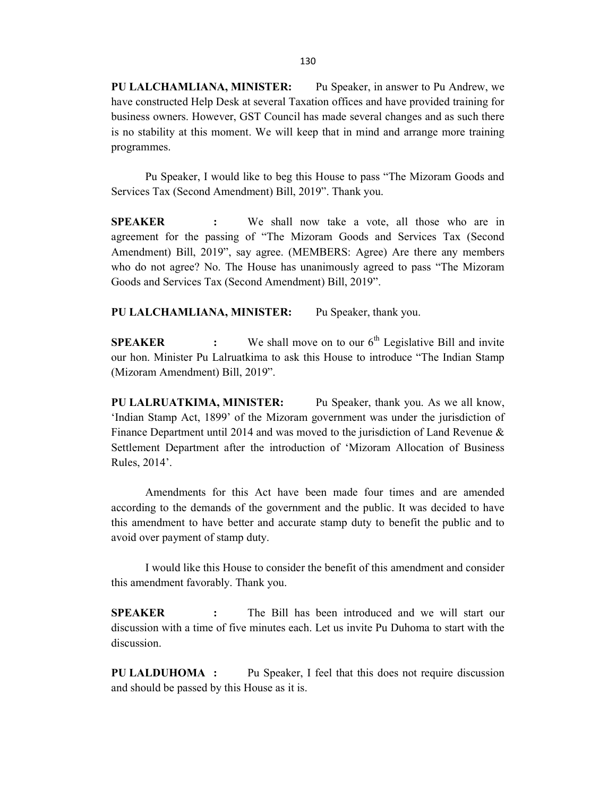PU LALCHAMLIANA, MINISTER: Pu Speaker, in answer to Pu Andrew, we have constructed Help Desk at several Taxation offices and have provided training for business owners. However, GST Council has made several changes and as such there is no stability at this moment. We will keep that in mind and arrange more training programmes.

 Pu Speaker, I would like to beg this House to pass "The Mizoram Goods and Services Tax (Second Amendment) Bill, 2019". Thank you.

SPEAKER : We shall now take a vote, all those who are in agreement for the passing of "The Mizoram Goods and Services Tax (Second Amendment) Bill, 2019", say agree. (MEMBERS: Agree) Are there any members who do not agree? No. The House has unanimously agreed to pass "The Mizoram Goods and Services Tax (Second Amendment) Bill, 2019".

PU LALCHAMLIANA, MINISTER: Pu Speaker, thank you.

**SPEAKER** : We shall move on to our  $6<sup>th</sup>$  Legislative Bill and invite our hon. Minister Pu Lalruatkima to ask this House to introduce "The Indian Stamp (Mizoram Amendment) Bill, 2019".

PU LALRUATKIMA, MINISTER: Pu Speaker, thank you. As we all know, 'Indian Stamp Act, 1899' of the Mizoram government was under the jurisdiction of Finance Department until 2014 and was moved to the jurisdiction of Land Revenue & Settlement Department after the introduction of 'Mizoram Allocation of Business Rules, 2014'.

 Amendments for this Act have been made four times and are amended according to the demands of the government and the public. It was decided to have this amendment to have better and accurate stamp duty to benefit the public and to avoid over payment of stamp duty.

 I would like this House to consider the benefit of this amendment and consider this amendment favorably. Thank you.

**SPEAKER** : The Bill has been introduced and we will start our discussion with a time of five minutes each. Let us invite Pu Duhoma to start with the discussion.

PU LALDUHOMA : Pu Speaker, I feel that this does not require discussion and should be passed by this House as it is.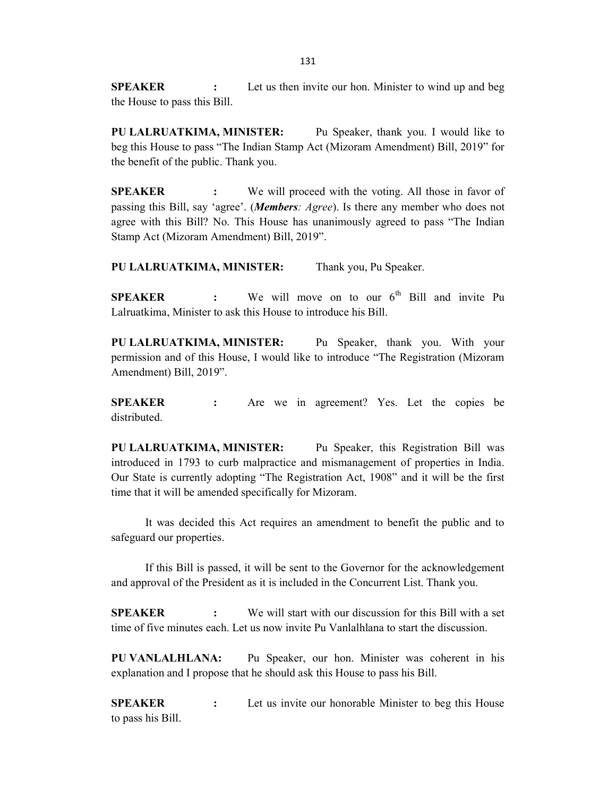**SPEAKER** : Let us then invite our hon. Minister to wind up and beg the House to pass this Bill.

PU LALRUATKIMA, MINISTER: Pu Speaker, thank you. I would like to beg this House to pass "The Indian Stamp Act (Mizoram Amendment) Bill, 2019" for the benefit of the public. Thank you.

**SPEAKER** : We will proceed with the voting. All those in favor of passing this Bill, say 'agree'. (Members: Agree). Is there any member who does not agree with this Bill? No. This House has unanimously agreed to pass "The Indian Stamp Act (Mizoram Amendment) Bill, 2019".

PU LALRUATKIMA, MINISTER: Thank you, Pu Speaker.

**SPEAKER** : We will move on to our  $6<sup>th</sup>$  Bill and invite Pu Lalruatkima, Minister to ask this House to introduce his Bill.

PU LALRUATKIMA, MINISTER: Pu Speaker, thank you. With your permission and of this House, I would like to introduce "The Registration (Mizoram Amendment) Bill, 2019".

**SPEAKER** : Are we in agreement? Yes. Let the copies be distributed.

PU LALRUATKIMA, MINISTER: Pu Speaker, this Registration Bill was introduced in 1793 to curb malpractice and mismanagement of properties in India. Our State is currently adopting "The Registration Act, 1908" and it will be the first time that it will be amended specifically for Mizoram.

 It was decided this Act requires an amendment to benefit the public and to safeguard our properties.

 If this Bill is passed, it will be sent to the Governor for the acknowledgement and approval of the President as it is included in the Concurrent List. Thank you.

SPEAKER : We will start with our discussion for this Bill with a set time of five minutes each. Let us now invite Pu Vanlalhlana to start the discussion.

PU VANLALHLANA: Pu Speaker, our hon. Minister was coherent in his explanation and I propose that he should ask this House to pass his Bill.

SPEAKER : Let us invite our honorable Minister to beg this House to pass his Bill.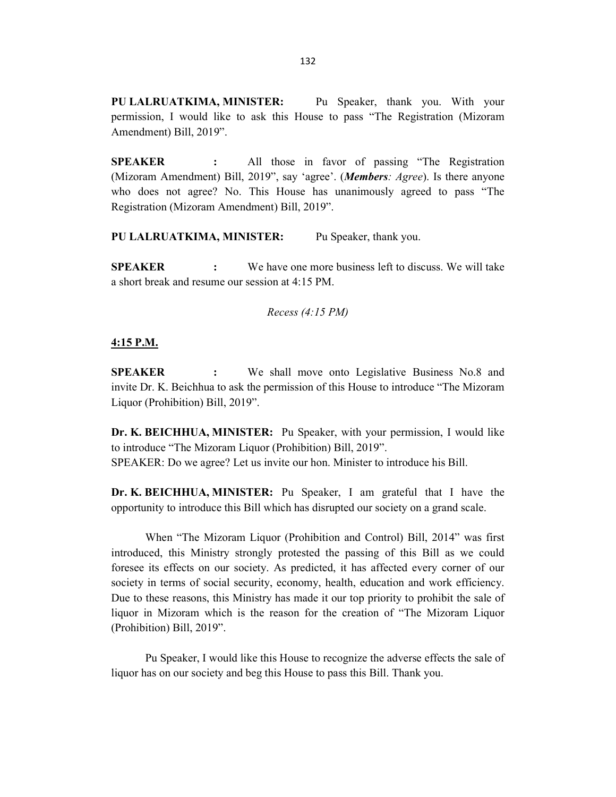PU LALRUATKIMA, MINISTER: Pu Speaker, thank you. With your permission, I would like to ask this House to pass "The Registration (Mizoram Amendment) Bill, 2019".

SPEAKER : All those in favor of passing "The Registration (Mizoram Amendment) Bill, 2019", say 'agree'. (*Members: Agree*). Is there anyone who does not agree? No. This House has unanimously agreed to pass "The Registration (Mizoram Amendment) Bill, 2019".

PU LALRUATKIMA, MINISTER: Pu Speaker, thank you.

**SPEAKER** : We have one more business left to discuss. We will take a short break and resume our session at 4:15 PM.

Recess (4:15 PM)

#### 4:15 P.M.

SPEAKER : We shall move onto Legislative Business No.8 and invite Dr. K. Beichhua to ask the permission of this House to introduce "The Mizoram Liquor (Prohibition) Bill, 2019".

Dr. K. BEICHHUA, MINISTER: Pu Speaker, with your permission, I would like to introduce "The Mizoram Liquor (Prohibition) Bill, 2019". SPEAKER: Do we agree? Let us invite our hon. Minister to introduce his Bill.

Dr. K. BEICHHUA, MINISTER: Pu Speaker, I am grateful that I have the opportunity to introduce this Bill which has disrupted our society on a grand scale.

 When "The Mizoram Liquor (Prohibition and Control) Bill, 2014" was first introduced, this Ministry strongly protested the passing of this Bill as we could foresee its effects on our society. As predicted, it has affected every corner of our society in terms of social security, economy, health, education and work efficiency. Due to these reasons, this Ministry has made it our top priority to prohibit the sale of liquor in Mizoram which is the reason for the creation of "The Mizoram Liquor (Prohibition) Bill, 2019".

 Pu Speaker, I would like this House to recognize the adverse effects the sale of liquor has on our society and beg this House to pass this Bill. Thank you.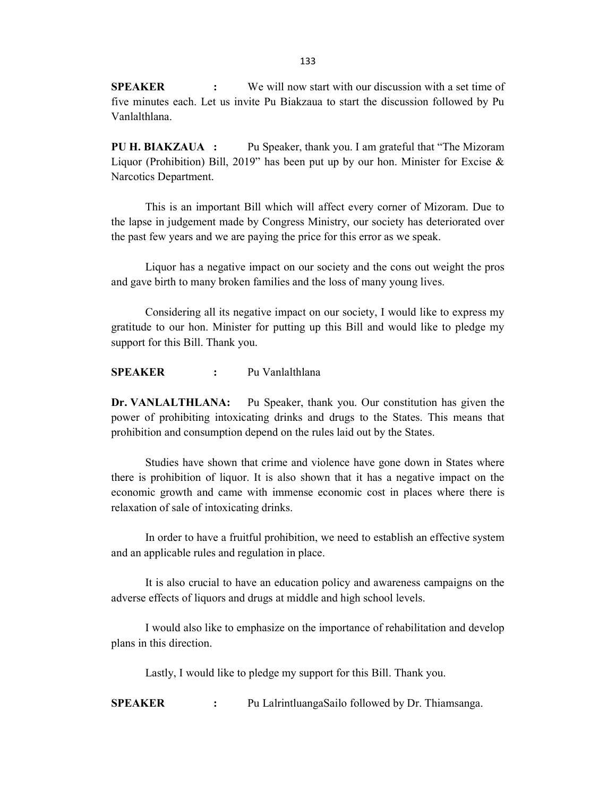**SPEAKER** : We will now start with our discussion with a set time of five minutes each. Let us invite Pu Biakzaua to start the discussion followed by Pu Vanlalthlana.

PU H. BIAKZAUA : Pu Speaker, thank you. I am grateful that "The Mizoram Liquor (Prohibition) Bill, 2019" has been put up by our hon. Minister for Excise  $\&$ Narcotics Department.

 This is an important Bill which will affect every corner of Mizoram. Due to the lapse in judgement made by Congress Ministry, our society has deteriorated over the past few years and we are paying the price for this error as we speak.

Liquor has a negative impact on our society and the cons out weight the pros and gave birth to many broken families and the loss of many young lives.

 Considering all its negative impact on our society, I would like to express my gratitude to our hon. Minister for putting up this Bill and would like to pledge my support for this Bill. Thank you.

SPEAKER : Pu Vanlalthlana

Dr. VANLALTHLANA: Pu Speaker, thank you. Our constitution has given the power of prohibiting intoxicating drinks and drugs to the States. This means that prohibition and consumption depend on the rules laid out by the States.

Studies have shown that crime and violence have gone down in States where there is prohibition of liquor. It is also shown that it has a negative impact on the economic growth and came with immense economic cost in places where there is relaxation of sale of intoxicating drinks.

 In order to have a fruitful prohibition, we need to establish an effective system and an applicable rules and regulation in place.

 It is also crucial to have an education policy and awareness campaigns on the adverse effects of liquors and drugs at middle and high school levels.

 I would also like to emphasize on the importance of rehabilitation and develop plans in this direction.

Lastly, I would like to pledge my support for this Bill. Thank you.

SPEAKER : Pu LalrintluangaSailo followed by Dr. Thiamsanga.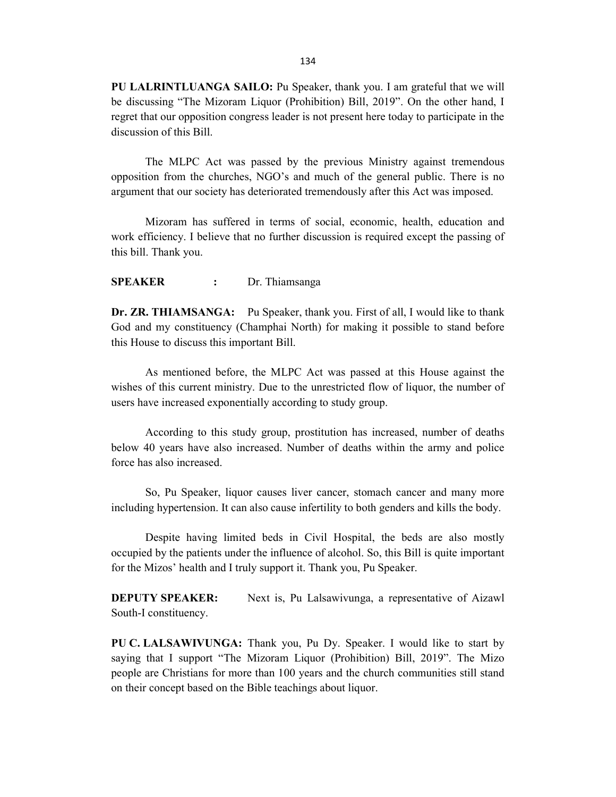PU LALRINTLUANGA SAILO: Pu Speaker, thank you. I am grateful that we will be discussing "The Mizoram Liquor (Prohibition) Bill, 2019". On the other hand, I regret that our opposition congress leader is not present here today to participate in the discussion of this Bill.

 The MLPC Act was passed by the previous Ministry against tremendous opposition from the churches, NGO's and much of the general public. There is no argument that our society has deteriorated tremendously after this Act was imposed.

 Mizoram has suffered in terms of social, economic, health, education and work efficiency. I believe that no further discussion is required except the passing of this bill. Thank you.

SPEAKER : Dr. Thiamsanga

Dr. ZR. THIAMSANGA: Pu Speaker, thank you. First of all, I would like to thank God and my constituency (Champhai North) for making it possible to stand before this House to discuss this important Bill.

 As mentioned before, the MLPC Act was passed at this House against the wishes of this current ministry. Due to the unrestricted flow of liquor, the number of users have increased exponentially according to study group.

 According to this study group, prostitution has increased, number of deaths below 40 years have also increased. Number of deaths within the army and police force has also increased.

 So, Pu Speaker, liquor causes liver cancer, stomach cancer and many more including hypertension. It can also cause infertility to both genders and kills the body.

 Despite having limited beds in Civil Hospital, the beds are also mostly occupied by the patients under the influence of alcohol. So, this Bill is quite important for the Mizos' health and I truly support it. Thank you, Pu Speaker.

**DEPUTY SPEAKER:** Next is, Pu Lalsawivunga, a representative of Aizawl South-I constituency.

PU C. LALSAWIVUNGA: Thank you, Pu Dy. Speaker. I would like to start by saying that I support "The Mizoram Liquor (Prohibition) Bill, 2019". The Mizo people are Christians for more than 100 years and the church communities still stand on their concept based on the Bible teachings about liquor.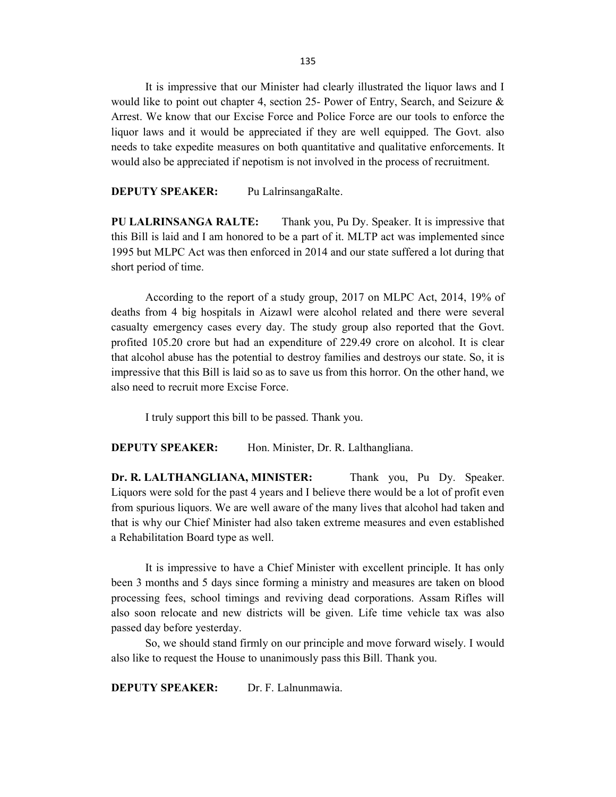135

 It is impressive that our Minister had clearly illustrated the liquor laws and I would like to point out chapter 4, section 25- Power of Entry, Search, and Seizure & Arrest. We know that our Excise Force and Police Force are our tools to enforce the liquor laws and it would be appreciated if they are well equipped. The Govt. also needs to take expedite measures on both quantitative and qualitative enforcements. It would also be appreciated if nepotism is not involved in the process of recruitment.

DEPUTY SPEAKER: Pu LalrinsangaRalte.

PU LALRINSANGA RALTE: Thank you, Pu Dy. Speaker. It is impressive that this Bill is laid and I am honored to be a part of it. MLTP act was implemented since 1995 but MLPC Act was then enforced in 2014 and our state suffered a lot during that short period of time.

 According to the report of a study group, 2017 on MLPC Act, 2014, 19% of deaths from 4 big hospitals in Aizawl were alcohol related and there were several casualty emergency cases every day. The study group also reported that the Govt. profited 105.20 crore but had an expenditure of 229.49 crore on alcohol. It is clear that alcohol abuse has the potential to destroy families and destroys our state. So, it is impressive that this Bill is laid so as to save us from this horror. On the other hand, we also need to recruit more Excise Force.

I truly support this bill to be passed. Thank you.

DEPUTY SPEAKER: Hon. Minister, Dr. R. Lalthangliana.

Dr. R. LALTHANGLIANA, MINISTER: Thank you, Pu Dy. Speaker. Liquors were sold for the past 4 years and I believe there would be a lot of profit even from spurious liquors. We are well aware of the many lives that alcohol had taken and that is why our Chief Minister had also taken extreme measures and even established a Rehabilitation Board type as well.

It is impressive to have a Chief Minister with excellent principle. It has only been 3 months and 5 days since forming a ministry and measures are taken on blood processing fees, school timings and reviving dead corporations. Assam Rifles will also soon relocate and new districts will be given. Life time vehicle tax was also passed day before yesterday.

So, we should stand firmly on our principle and move forward wisely. I would also like to request the House to unanimously pass this Bill. Thank you.

DEPUTY SPEAKER: Dr. F. Lalnunmawia.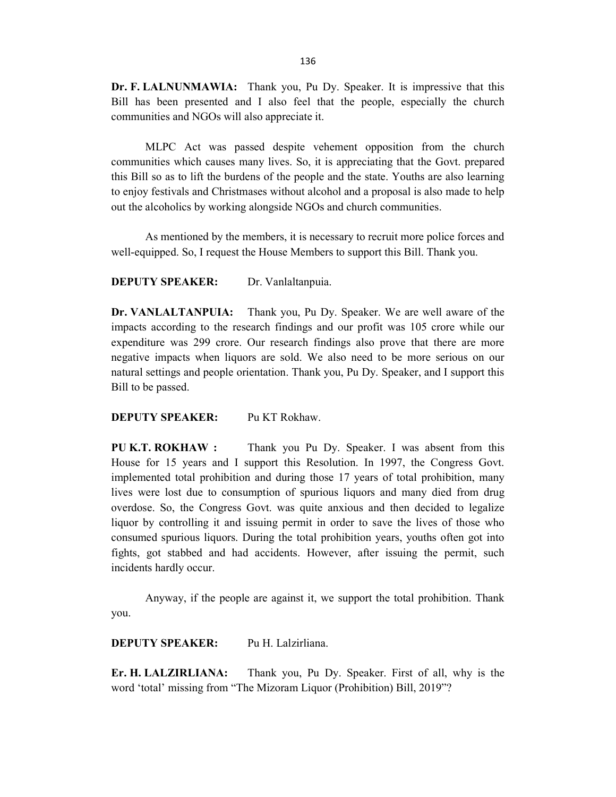Dr. F. LALNUNMAWIA: Thank you, Pu Dy. Speaker. It is impressive that this Bill has been presented and I also feel that the people, especially the church communities and NGOs will also appreciate it.

MLPC Act was passed despite vehement opposition from the church communities which causes many lives. So, it is appreciating that the Govt. prepared this Bill so as to lift the burdens of the people and the state. Youths are also learning to enjoy festivals and Christmases without alcohol and a proposal is also made to help out the alcoholics by working alongside NGOs and church communities.

As mentioned by the members, it is necessary to recruit more police forces and well-equipped. So, I request the House Members to support this Bill. Thank you.

DEPUTY SPEAKER: Dr. Vanlaltanpuia.

Dr. VANLALTANPUIA: Thank you, Pu Dy. Speaker. We are well aware of the impacts according to the research findings and our profit was 105 crore while our expenditure was 299 crore. Our research findings also prove that there are more negative impacts when liquors are sold. We also need to be more serious on our natural settings and people orientation. Thank you, Pu Dy. Speaker, and I support this Bill to be passed.

#### DEPUTY SPEAKER: Pu KT Rokhaw.

PU K.T. ROKHAW : Thank you Pu Dy. Speaker. I was absent from this House for 15 years and I support this Resolution. In 1997, the Congress Govt. implemented total prohibition and during those 17 years of total prohibition, many lives were lost due to consumption of spurious liquors and many died from drug overdose. So, the Congress Govt. was quite anxious and then decided to legalize liquor by controlling it and issuing permit in order to save the lives of those who consumed spurious liquors. During the total prohibition years, youths often got into fights, got stabbed and had accidents. However, after issuing the permit, such incidents hardly occur.

 Anyway, if the people are against it, we support the total prohibition. Thank you.

DEPUTY SPEAKER: Pu H. Lalzirliana.

Er. H. LALZIRLIANA: Thank you, Pu Dy. Speaker. First of all, why is the word 'total' missing from "The Mizoram Liquor (Prohibition) Bill, 2019"?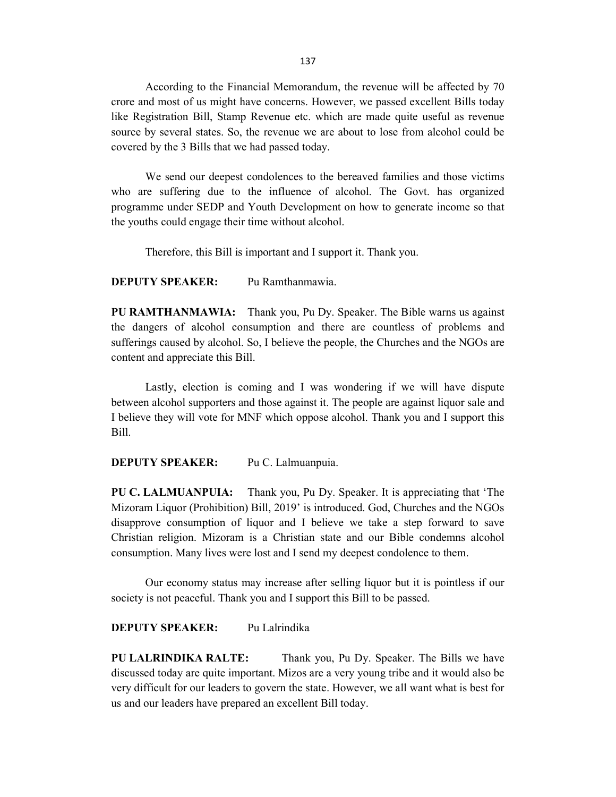137

 According to the Financial Memorandum, the revenue will be affected by 70 crore and most of us might have concerns. However, we passed excellent Bills today like Registration Bill, Stamp Revenue etc. which are made quite useful as revenue source by several states. So, the revenue we are about to lose from alcohol could be covered by the 3 Bills that we had passed today.

 We send our deepest condolences to the bereaved families and those victims who are suffering due to the influence of alcohol. The Govt. has organized programme under SEDP and Youth Development on how to generate income so that the youths could engage their time without alcohol.

Therefore, this Bill is important and I support it. Thank you.

DEPUTY SPEAKER: Pu Ramthanmawia.

PU RAMTHANMAWIA: Thank you, Pu Dy. Speaker. The Bible warns us against the dangers of alcohol consumption and there are countless of problems and sufferings caused by alcohol. So, I believe the people, the Churches and the NGOs are content and appreciate this Bill.

Lastly, election is coming and I was wondering if we will have dispute between alcohol supporters and those against it. The people are against liquor sale and I believe they will vote for MNF which oppose alcohol. Thank you and I support this Bill.

DEPUTY SPEAKER: Pu C. Lalmuanpuia.

PU C. LALMUANPUIA: Thank you, Pu Dy. Speaker. It is appreciating that 'The Mizoram Liquor (Prohibition) Bill, 2019' is introduced. God, Churches and the NGOs disapprove consumption of liquor and I believe we take a step forward to save Christian religion. Mizoram is a Christian state and our Bible condemns alcohol consumption. Many lives were lost and I send my deepest condolence to them.

Our economy status may increase after selling liquor but it is pointless if our society is not peaceful. Thank you and I support this Bill to be passed.

## DEPUTY SPEAKER: Pu Lalrindika

PU LALRINDIKA RALTE: Thank you, Pu Dy. Speaker. The Bills we have discussed today are quite important. Mizos are a very young tribe and it would also be very difficult for our leaders to govern the state. However, we all want what is best for us and our leaders have prepared an excellent Bill today.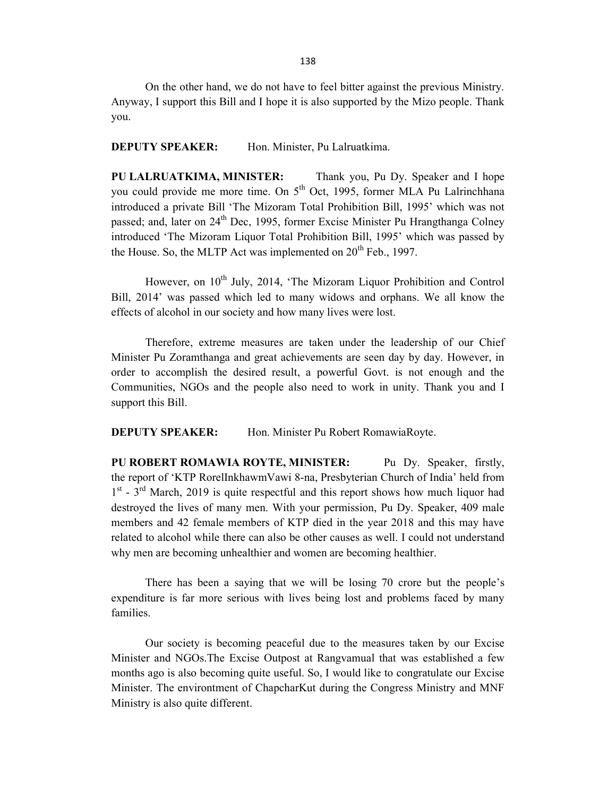On the other hand, we do not have to feel bitter against the previous Ministry. Anyway, I support this Bill and I hope it is also supported by the Mizo people. Thank you.

DEPUTY SPEAKER: Hon. Minister, Pu Lalruatkima.

PU LALRUATKIMA, MINISTER: Thank you, Pu Dy. Speaker and I hope you could provide me more time. On  $5<sup>th</sup>$  Oct, 1995, former MLA Pu Lalrinchhana introduced a private Bill 'The Mizoram Total Prohibition Bill, 1995' which was not passed; and, later on  $24<sup>th</sup>$  Dec, 1995, former Excise Minister Pu Hrangthanga Colney introduced 'The Mizoram Liquor Total Prohibition Bill, 1995' which was passed by the House. So, the MLTP Act was implemented on  $20<sup>th</sup>$  Feb., 1997.

However, on 10<sup>th</sup> July, 2014, 'The Mizoram Liquor Prohibition and Control Bill, 2014' was passed which led to many widows and orphans. We all know the effects of alcohol in our society and how many lives were lost.

 Therefore, extreme measures are taken under the leadership of our Chief Minister Pu Zoramthanga and great achievements are seen day by day. However, in order to accomplish the desired result, a powerful Govt. is not enough and the Communities, NGOs and the people also need to work in unity. Thank you and I support this Bill.

DEPUTY SPEAKER: Hon. Minister Pu Robert RomawiaRoyte.

PU ROBERT ROMAWIA ROYTE, MINISTER: Pu Dy. Speaker, firstly, the report of 'KTP RorelInkhawmVawi 8-na, Presbyterian Church of India' held from 1<sup>st</sup> - 3<sup>rd</sup> March, 2019 is quite respectful and this report shows how much liquor had destroyed the lives of many men. With your permission, Pu Dy. Speaker, 409 male members and 42 female members of KTP died in the year 2018 and this may have related to alcohol while there can also be other causes as well. I could not understand why men are becoming unhealthier and women are becoming healthier.

 There has been a saying that we will be losing 70 crore but the people's expenditure is far more serious with lives being lost and problems faced by many families.

 Our society is becoming peaceful due to the measures taken by our Excise Minister and NGOs.The Excise Outpost at Rangvamual that was established a few months ago is also becoming quite useful. So, I would like to congratulate our Excise Minister. The environtment of ChapcharKut during the Congress Ministry and MNF Ministry is also quite different.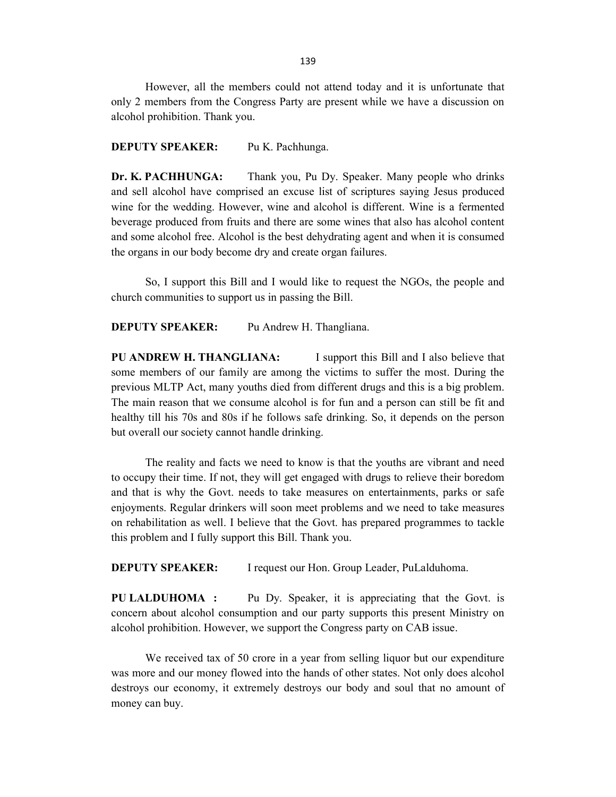However, all the members could not attend today and it is unfortunate that only 2 members from the Congress Party are present while we have a discussion on alcohol prohibition. Thank you.

#### DEPUTY SPEAKER: Pu K. Pachhunga.

Dr. K. PACHHUNGA: Thank you, Pu Dy. Speaker. Many people who drinks and sell alcohol have comprised an excuse list of scriptures saying Jesus produced wine for the wedding. However, wine and alcohol is different. Wine is a fermented beverage produced from fruits and there are some wines that also has alcohol content and some alcohol free. Alcohol is the best dehydrating agent and when it is consumed the organs in our body become dry and create organ failures.

So, I support this Bill and I would like to request the NGOs, the people and church communities to support us in passing the Bill.

#### DEPUTY SPEAKER: Pu Andrew H. Thangliana.

PU ANDREW H. THANGLIANA: I support this Bill and I also believe that some members of our family are among the victims to suffer the most. During the previous MLTP Act, many youths died from different drugs and this is a big problem. The main reason that we consume alcohol is for fun and a person can still be fit and healthy till his 70s and 80s if he follows safe drinking. So, it depends on the person but overall our society cannot handle drinking.

 The reality and facts we need to know is that the youths are vibrant and need to occupy their time. If not, they will get engaged with drugs to relieve their boredom and that is why the Govt. needs to take measures on entertainments, parks or safe enjoyments. Regular drinkers will soon meet problems and we need to take measures on rehabilitation as well. I believe that the Govt. has prepared programmes to tackle this problem and I fully support this Bill. Thank you.

DEPUTY SPEAKER: I request our Hon. Group Leader, PuLalduhoma.

PU LALDUHOMA : Pu Dy. Speaker, it is appreciating that the Govt. is concern about alcohol consumption and our party supports this present Ministry on alcohol prohibition. However, we support the Congress party on CAB issue.

 We received tax of 50 crore in a year from selling liquor but our expenditure was more and our money flowed into the hands of other states. Not only does alcohol destroys our economy, it extremely destroys our body and soul that no amount of money can buy.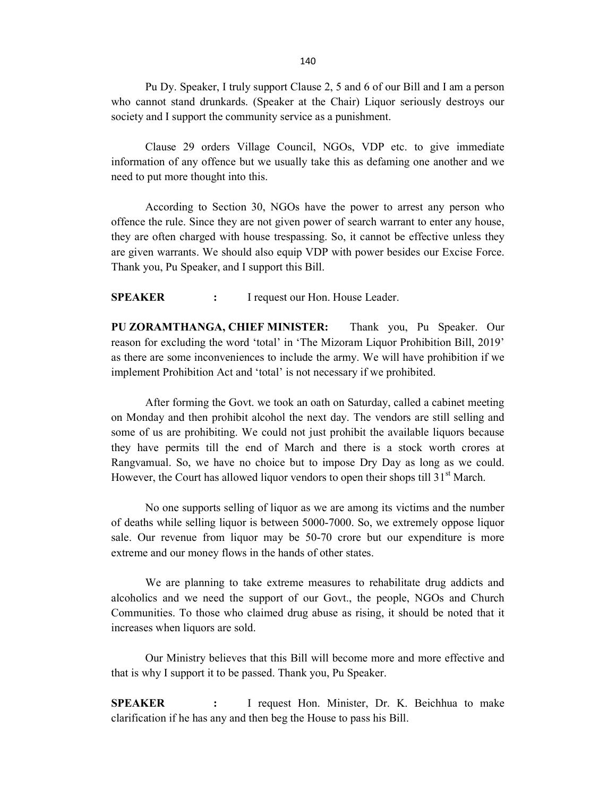Pu Dy. Speaker, I truly support Clause 2, 5 and 6 of our Bill and I am a person who cannot stand drunkards. (Speaker at the Chair) Liquor seriously destroys our society and I support the community service as a punishment.

 Clause 29 orders Village Council, NGOs, VDP etc. to give immediate information of any offence but we usually take this as defaming one another and we need to put more thought into this.

 According to Section 30, NGOs have the power to arrest any person who offence the rule. Since they are not given power of search warrant to enter any house, they are often charged with house trespassing. So, it cannot be effective unless they are given warrants. We should also equip VDP with power besides our Excise Force. Thank you, Pu Speaker, and I support this Bill.

SPEAKER : I request our Hon. House Leader.

PU ZORAMTHANGA, CHIEF MINISTER: Thank you, Pu Speaker. Our reason for excluding the word 'total' in 'The Mizoram Liquor Prohibition Bill, 2019' as there are some inconveniences to include the army. We will have prohibition if we implement Prohibition Act and 'total' is not necessary if we prohibited.

 After forming the Govt. we took an oath on Saturday, called a cabinet meeting on Monday and then prohibit alcohol the next day. The vendors are still selling and some of us are prohibiting. We could not just prohibit the available liquors because they have permits till the end of March and there is a stock worth crores at Rangvamual. So, we have no choice but to impose Dry Day as long as we could. However, the Court has allowed liquor vendors to open their shops till  $31<sup>st</sup>$  March.

No one supports selling of liquor as we are among its victims and the number of deaths while selling liquor is between 5000-7000. So, we extremely oppose liquor sale. Our revenue from liquor may be 50-70 crore but our expenditure is more extreme and our money flows in the hands of other states.

We are planning to take extreme measures to rehabilitate drug addicts and alcoholics and we need the support of our Govt., the people, NGOs and Church Communities. To those who claimed drug abuse as rising, it should be noted that it increases when liquors are sold.

Our Ministry believes that this Bill will become more and more effective and that is why I support it to be passed. Thank you, Pu Speaker.

SPEAKER : I request Hon. Minister, Dr. K. Beichhua to make clarification if he has any and then beg the House to pass his Bill.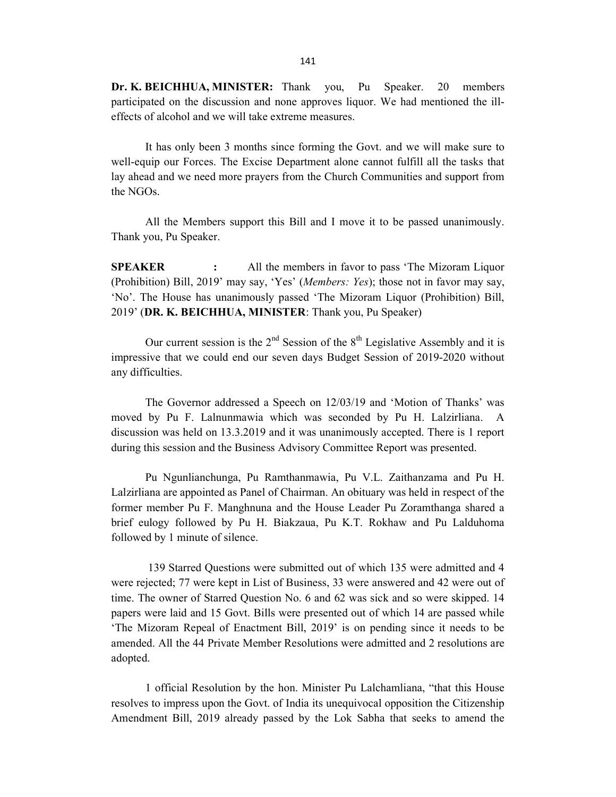Dr. K. BEICHHUA, MINISTER: Thank you, Pu Speaker. 20 members participated on the discussion and none approves liquor. We had mentioned the illeffects of alcohol and we will take extreme measures.

 It has only been 3 months since forming the Govt. and we will make sure to well-equip our Forces. The Excise Department alone cannot fulfill all the tasks that lay ahead and we need more prayers from the Church Communities and support from the NGOs.

 All the Members support this Bill and I move it to be passed unanimously. Thank you, Pu Speaker.

**SPEAKER** : All the members in favor to pass 'The Mizoram Liquor (Prohibition) Bill, 2019' may say, 'Yes' (Members: Yes); those not in favor may say, 'No'. The House has unanimously passed 'The Mizoram Liquor (Prohibition) Bill, 2019' (DR. K. BEICHHUA, MINISTER: Thank you, Pu Speaker)

Our current session is the  $2<sup>nd</sup>$  Session of the  $8<sup>th</sup>$  Legislative Assembly and it is impressive that we could end our seven days Budget Session of 2019-2020 without any difficulties.

 The Governor addressed a Speech on 12/03/19 and 'Motion of Thanks' was moved by Pu F. Lalnunmawia which was seconded by Pu H. Lalzirliana. A discussion was held on 13.3.2019 and it was unanimously accepted. There is 1 report during this session and the Business Advisory Committee Report was presented.

 Pu Ngunlianchunga, Pu Ramthanmawia, Pu V.L. Zaithanzama and Pu H. Lalzirliana are appointed as Panel of Chairman. An obituary was held in respect of the former member Pu F. Manghnuna and the House Leader Pu Zoramthanga shared a brief eulogy followed by Pu H. Biakzaua, Pu K.T. Rokhaw and Pu Lalduhoma followed by 1 minute of silence.

 139 Starred Questions were submitted out of which 135 were admitted and 4 were rejected; 77 were kept in List of Business, 33 were answered and 42 were out of time. The owner of Starred Question No. 6 and 62 was sick and so were skipped. 14 papers were laid and 15 Govt. Bills were presented out of which 14 are passed while 'The Mizoram Repeal of Enactment Bill, 2019' is on pending since it needs to be amended. All the 44 Private Member Resolutions were admitted and 2 resolutions are adopted.

 1 official Resolution by the hon. Minister Pu Lalchamliana, "that this House resolves to impress upon the Govt. of India its unequivocal opposition the Citizenship Amendment Bill, 2019 already passed by the Lok Sabha that seeks to amend the